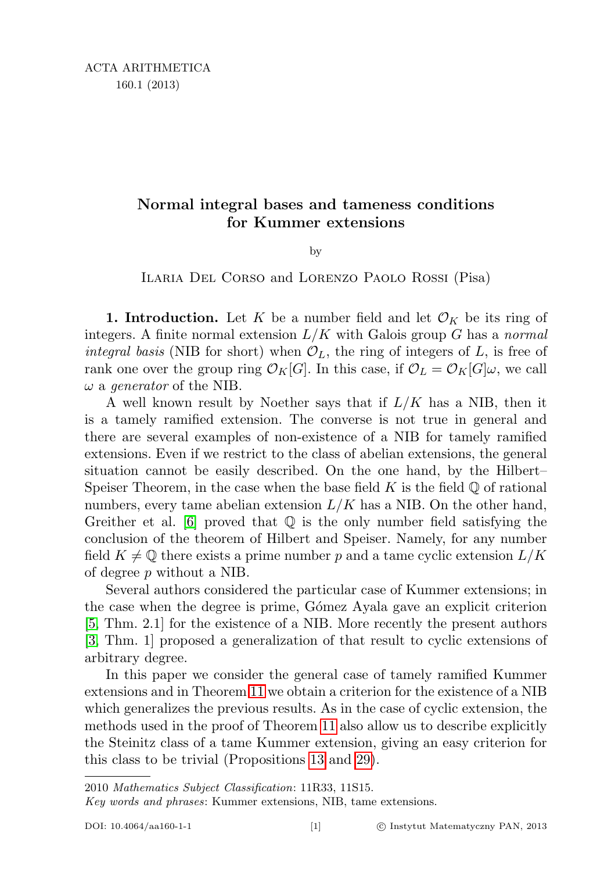## Normal integral bases and tameness conditions for Kummer extensions

by

Ilaria Del Corso and Lorenzo Paolo Rossi (Pisa)

**1. Introduction.** Let K be a number field and let  $\mathcal{O}_K$  be its ring of integers. A finite normal extension  $L/K$  with Galois group G has a normal integral basis (NIB for short) when  $\mathcal{O}_L$ , the ring of integers of L, is free of rank one over the group ring  $\mathcal{O}_K[G]$ . In this case, if  $\mathcal{O}_L = \mathcal{O}_K[G]\omega$ , we call  $\omega$  a generator of the NIB.

A well known result by Noether says that if  $L/K$  has a NIB, then it is a tamely ramified extension. The converse is not true in general and there are several examples of non-existence of a NIB for tamely ramified extensions. Even if we restrict to the class of abelian extensions, the general situation cannot be easily described. On the one hand, by the Hilbert– Speiser Theorem, in the case when the base field  $K$  is the field  $\mathbb Q$  of rational numbers, every tame abelian extension  $L/K$  has a NIB. On the other hand, Greither et al.  $\lceil 6 \rceil$  proved that  $\mathbb Q$  is the only number field satisfying the conclusion of the theorem of Hilbert and Speiser. Namely, for any number field  $K \neq \mathbb{Q}$  there exists a prime number p and a tame cyclic extension  $L/K$ of degree p without a NIB.

Several authors considered the particular case of Kummer extensions; in the case when the degree is prime, G´omez Ayala gave an explicit criterion [\[5,](#page-22-1) Thm. 2.1] for the existence of a NIB. More recently the present authors [\[3,](#page-22-2) Thm. 1] proposed a generalization of that result to cyclic extensions of arbitrary degree.

In this paper we consider the general case of tamely ramified Kummer extensions and in Theorem [11](#page-7-0) we obtain a criterion for the existence of a NIB which generalizes the previous results. As in the case of cyclic extension, the methods used in the proof of Theorem [11](#page-7-0) also allow us to describe explicitly the Steinitz class of a tame Kummer extension, giving an easy criterion for this class to be trivial (Propositions [13](#page-9-0) and [29\)](#page-16-0).

<sup>2010</sup> Mathematics Subject Classification: 11R33, 11S15.

Key words and phrases: Kummer extensions, NIB, tame extensions.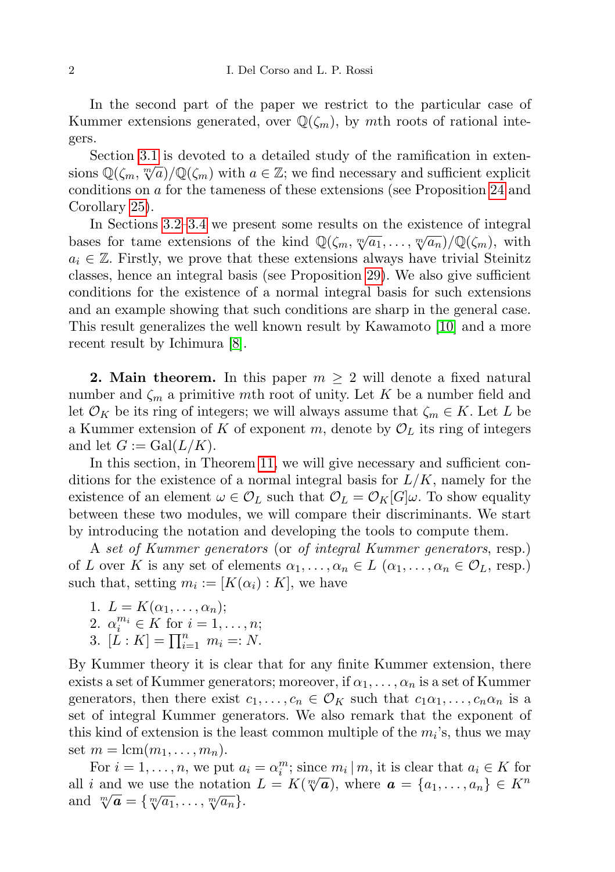In the second part of the paper we restrict to the particular case of Kummer extensions generated, over  $\mathbb{Q}(\zeta_m)$ , by mth roots of rational integers.

Section [3.1](#page-10-0) is devoted to a detailed study of the ramification in extensions  $\mathbb{Q}(\zeta_m, \sqrt[m]{a})/\mathbb{Q}(\zeta_m)$  with  $a \in \mathbb{Z}$ ; we find necessary and sufficient explicit conditions on a for the tameness of these extensions (see Proposition [24](#page-14-0) and Corollary [25\)](#page-14-1).

In Sections [3.2–](#page-15-0)[3.4](#page-20-0) we present some results on the existence of integral the bases for tame extensions of the kind  $\mathbb{Q}(\zeta_m, \sqrt[m]{a_1}, \ldots, \sqrt[m]{a_n})/\mathbb{Q}(\zeta_m)$ , with  $a_i \in \mathbb{Z}$ . Firstly, we prove that these extensions always have trivial Steinitz classes, hence an integral basis (see Proposition [29\)](#page-16-0). We also give sufficient conditions for the existence of a normal integral basis for such extensions and an example showing that such conditions are sharp in the general case. This result generalizes the well known result by Kawamoto [\[10\]](#page-22-3) and a more recent result by Ichimura [\[8\]](#page-22-4).

<span id="page-1-0"></span>**2. Main theorem.** In this paper  $m \geq 2$  will denote a fixed natural number and  $\zeta_m$  a primitive mth root of unity. Let K be a number field and let  $\mathcal{O}_K$  be its ring of integers; we will always assume that  $\zeta_m \in K$ . Let L be a Kummer extension of K of exponent m, denote by  $\mathcal{O}_L$  its ring of integers and let  $G := \text{Gal}(L/K)$ .

In this section, in Theorem [11,](#page-7-0) we will give necessary and sufficient conditions for the existence of a normal integral basis for  $L/K$ , namely for the existence of an element  $\omega \in \mathcal{O}_L$  such that  $\mathcal{O}_L = \mathcal{O}_K[G] \omega$ . To show equality between these two modules, we will compare their discriminants. We start by introducing the notation and developing the tools to compute them.

A set of Kummer generators (or of integral Kummer generators, resp.) of L over K is any set of elements  $\alpha_1, \ldots, \alpha_n \in L$   $(\alpha_1, \ldots, \alpha_n \in \mathcal{O}_L, \text{resp.})$ such that, setting  $m_i := [K(\alpha_i) : K]$ , we have

- 1.  $L = K(\alpha_1, \ldots, \alpha_n);$
- 2.  $\alpha_i^{m_i} \in K$  for  $i = 1, ..., n;$
- 3.  $[L : K] = \prod_{i=1}^{n} m_i =: N$ .

By Kummer theory it is clear that for any finite Kummer extension, there exists a set of Kummer generators; moreover, if  $\alpha_1, \ldots, \alpha_n$  is a set of Kummer generators, then there exist  $c_1, \ldots, c_n \in \mathcal{O}_K$  such that  $c_1\alpha_1, \ldots, c_n\alpha_n$  is a set of integral Kummer generators. We also remark that the exponent of this kind of extension is the least common multiple of the  $m_i$ 's, thus we may set  $m = \text{lcm}(m_1, \ldots, m_n)$ .

For  $i = 1, ..., n$ , we put  $a_i = \alpha_i^m$ ; since  $m_i | m$ , it is clear that  $a_i \in K$  for For  $i = 1, ..., n$ , we put  $u_i = \alpha_i$ ; since  $m_i | m$ , it is clear that  $u_i \in K$  for all i and we use the notation  $L = K(\sqrt[m]{a})$ , where  $a = \{a_1, ..., a_n\} \in K^n$ and  $\sqrt[m]{a} = \{\sqrt[m]{a_1}, \ldots, \sqrt[m]{a_n}\}.$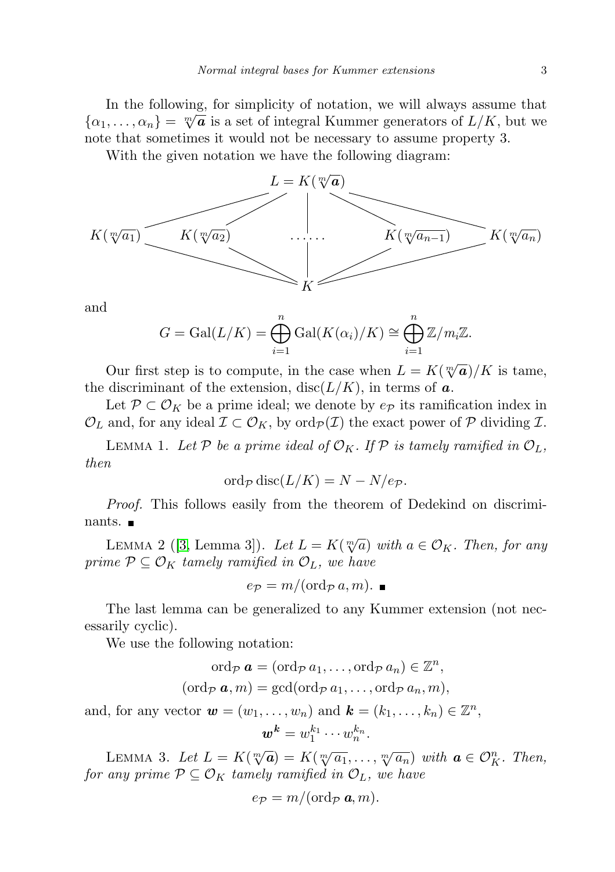In the following, for simplicity of notation, we will always assume that In the following, for simplicity of hotation, we will always assume that  $\{\alpha_1, \dots, \alpha_n\} = \sqrt[m]{a}$  is a set of integral Kummer generators of  $L/K$ , but we note that sometimes it would not be necessary to assume property 3.

With the given notation we have the following diagram:



and

$$
G = \operatorname{Gal}(L/K) = \bigoplus_{i=1}^{n} \operatorname{Gal}(K(\alpha_i)/K) \cong \bigoplus_{i=1}^{n} \mathbb{Z}/m_i\mathbb{Z}.
$$

Our first step is to compute, in the case when  $L = K(\sqrt[m]{a})/K$  is tame, the discriminant of the extension,  $disc(L/K)$ , in terms of a.

Let  $\mathcal{P} \subset \mathcal{O}_K$  be a prime ideal; we denote by  $e_{\mathcal{P}}$  its ramification index in  $\mathcal{O}_L$  and, for any ideal  $\mathcal{I} \subset \mathcal{O}_K$ , by  $\text{ord}_{\mathcal{P}}(\mathcal{I})$  the exact power of  $\mathcal P$  dividing  $\mathcal{I}$ .

<span id="page-2-1"></span>LEMMA 1. Let P be a prime ideal of  $\mathcal{O}_K$ . If P is tamely ramified in  $\mathcal{O}_L$ , then

$$
\operatorname{ord}_{\mathcal{P}}\operatorname{disc}(L/K) = N - N/e_{\mathcal{P}}.
$$

Proof. This follows easily from the theorem of Dedekind on discriminants. ■

<span id="page-2-0"></span>LEMMA 2 ([\[3,](#page-22-2) Lemma 3]). Let  $L = K(\sqrt[m]{a})$  with  $a \in \mathcal{O}_K$ . Then, for any prime  $P \subseteq \mathcal{O}_K$  tamely ramified in  $\mathcal{O}_L$ , we have

$$
e_{\mathcal{P}} = m/(\text{ord}_{\mathcal{P}} a, m).
$$

The last lemma can be generalized to any Kummer extension (not necessarily cyclic).

We use the following notation:

$$
\operatorname{ord}_{\mathcal{P}} \boldsymbol{a} = (\operatorname{ord}_{\mathcal{P}} a_1, \dots, \operatorname{ord}_{\mathcal{P}} a_n) \in \mathbb{Z}^n,
$$

$$
(\operatorname{ord}_{\mathcal{P}} \boldsymbol{a}, m) = \gcd(\operatorname{ord}_{\mathcal{P}} a_1, \dots, \operatorname{ord}_{\mathcal{P}} a_n, m),
$$

and, for any vector  $\mathbf{w} = (w_1, \dots, w_n)$  and  $\mathbf{k} = (k_1, \dots, k_n) \in \mathbb{Z}^n$ ,  $\boldsymbol{w}^{\boldsymbol{k}} = w_1^{k_1} \cdots w_n^{k_n}.$ 

<span id="page-2-2"></span>LEMMA 3. Let  $L = K(\sqrt[m]{a}) = K(\sqrt[m]{a_1}, \ldots, \sqrt[m]{a_n})$  with  $a \in \mathcal{O}_K^n$ . Then, for any prime  $P \subseteq \mathcal{O}_K$  tamely ramified in  $\mathcal{O}_L$ , we have

$$
e_{\mathcal{P}}=m/(\text{ord}_{\mathcal{P}}\,\boldsymbol{a},m).
$$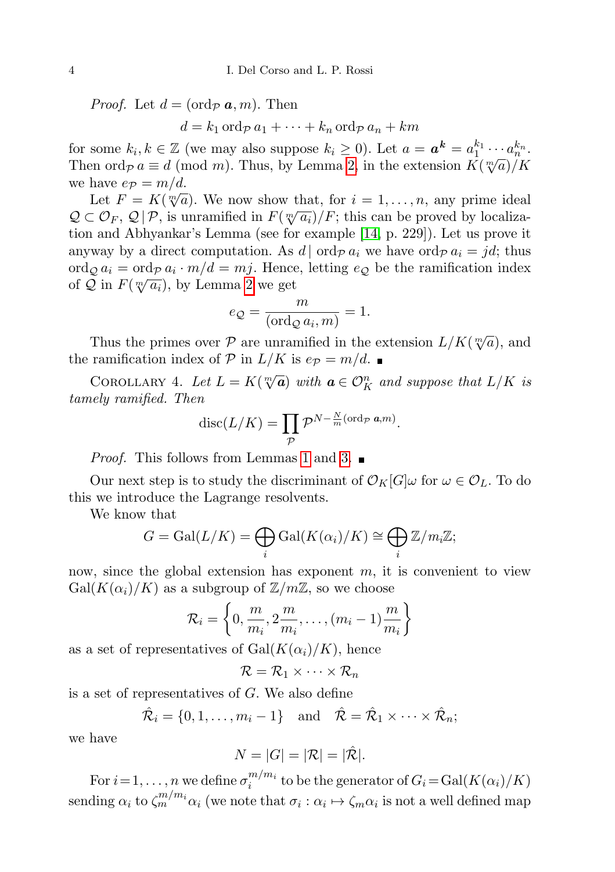*Proof.* Let  $d = (\text{ord}_{\mathcal{P}} \mathbf{a}, m)$ . Then

 $d = k_1 \operatorname{ord}_{\mathcal{P}} a_1 + \cdots + k_n \operatorname{ord}_{\mathcal{P}} a_n + km$ 

for some  $k_i, k \in \mathbb{Z}$  (we may also suppose  $k_i \geq 0$ ). Let  $a = \boldsymbol{a}^{\boldsymbol{k}} = a_1^{k_1} \cdots a_n^{k_n}$ . Then ord $p a \equiv d \pmod{m}$ . Thus, by Lemma [2,](#page-2-0) in the extension  $K(\sqrt[m]{a})/K$ we have  $e_{\mathcal{P}} = m/d$ .

Let  $F = K(\sqrt[m]{a})$ . We now show that, for  $i = 1, ..., n$ , any prime ideal  $Q \subset \mathcal{O}_F$ ,  $Q | \mathcal{P}$ , is unramified in  $F(\sqrt[m]{a_i})/F$ ; this can be proved by localization and Abhyankar's Lemma (see for example [\[14,](#page-22-5) p. 229]). Let us prove it anyway by a direct computation. As  $d | \text{ord}_{\mathcal{P}} a_i \text{ we have } \text{ord}_{\mathcal{P}} a_i = jd$ ; thus  $\operatorname{ord}_{\mathcal{Q}} a_i = \operatorname{ord}_{\mathcal{P}} a_i \cdot m/d = mj$ . Hence, letting  $e_{\mathcal{Q}}$  be the ramification index of Q in  $F(\sqrt[m]{a_i})$ , by Lemma [2](#page-2-0) we get

$$
e_{\mathcal{Q}} = \frac{m}{(\text{ord}_{\mathcal{Q}} a_i, m)} = 1.
$$

Thus the primes over P are unramified in the extension  $L/K(\sqrt[m]{a})$ , and the ramification index of P in  $L/K$  is  $e_{\mathcal{P}} = m/d$ .

<span id="page-3-0"></span>COROLLARY 4. Let  $L = K(\sqrt[m]{a})$  with  $a \in \mathcal{O}_K^n$  and suppose that  $L/K$  is tamely ramified. Then

$$
\mathrm{disc}(L/K) = \prod_{\mathcal{P}} \mathcal{P}^{N-\frac{N}{m}(\mathrm{ord}_{\mathcal{P}} \ a,m)}.
$$

*Proof.* This follows from Lemmas [1](#page-2-1) and [3.](#page-2-2)  $\blacksquare$ 

Our next step is to study the discriminant of  $\mathcal{O}_K[G]\omega$  for  $\omega \in \mathcal{O}_L$ . To do this we introduce the Lagrange resolvents.

We know that

$$
G = \text{Gal}(L/K) = \bigoplus_i \text{Gal}(K(\alpha_i)/K) \cong \bigoplus_i \mathbb{Z}/m_i\mathbb{Z};
$$

now, since the global extension has exponent  $m$ , it is convenient to view  $Gal(K(\alpha_i)/K)$  as a subgroup of  $\mathbb{Z}/m\mathbb{Z}$ , so we choose

$$
\mathcal{R}_i = \left\{0, \frac{m}{m_i}, 2\frac{m}{m_i}, \dots, (m_i - 1)\frac{m}{m_i}\right\}
$$

as a set of representatives of  $Gal(K(\alpha_i)/K)$ , hence

$$
\mathcal{R} = \mathcal{R}_1 \times \cdots \times \mathcal{R}_n
$$

is a set of representatives of  $G$ . We also define

$$
\hat{\mathcal{R}}_i = \{0, 1, \dots, m_i - 1\} \quad \text{and} \quad \hat{\mathcal{R}} = \hat{\mathcal{R}}_1 \times \dots \times \hat{\mathcal{R}}_n;
$$

we have

$$
N = |G| = |\mathcal{R}| = |\hat{\mathcal{R}}|.
$$

For  $i = 1, \ldots, n$  we define  $\sigma_i^{m/m_i}$  $\sum_{i=1}^{m/m_i}$  to be the generator of  $G_i = \text{Gal}(K(\alpha_i)/K)$ sending  $\alpha_i$  to  $\zeta_m^{m/m_i}\alpha_i$  (we note that  $\sigma_i:\alpha_i\mapsto \zeta_m\alpha_i$  is not a well defined map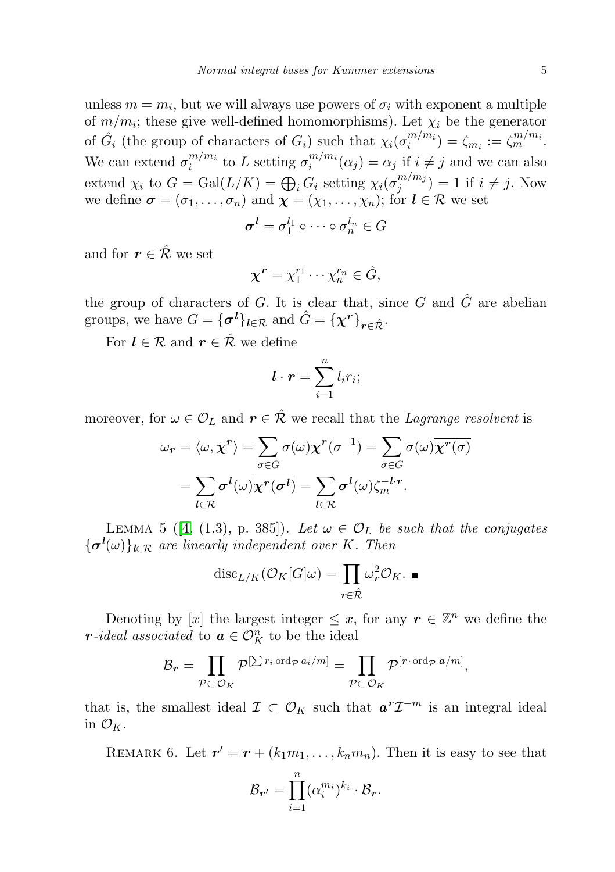unless  $m = m_i$ , but we will always use powers of  $\sigma_i$  with exponent a multiple of  $m/m_i$ ; these give well-defined homomorphisms). Let  $\chi_i$  be the generator of  $\hat{G}_i$  (the group of characters of  $G_i$ ) such that  $\chi_i(\sigma_i^{m/m_i})$  $\binom{m}{i} = \zeta_{m_i} := \zeta_m^{m/m_i}.$ We can extend  $\sigma_i^{m/m_i}$  $\binom{m}{i}$  to L setting  $\sigma_i^{m/m_i}$  $i^{m_i/m_i}(\alpha_j) = \alpha_j$  if  $i \neq j$  and we can also extend  $\chi_i$  to  $G = \text{Gal}(L/K) = \bigoplus_i G_i$  setting  $\chi_i(\sigma_j^{m/m_j})$  $j^{m/m_j}(j) = 1$  if  $i \neq j$ . Now we define  $\boldsymbol{\sigma} = (\sigma_1, \dots, \sigma_n)$  and  $\boldsymbol{\chi} = (\chi_1, \dots, \chi_n)$ ; for  $\boldsymbol{l} \in \mathcal{R}$  we set

$$
\boldsymbol{\sigma}^{\boldsymbol{l}}=\sigma_{1}^{l_{1}}\circ\cdots\circ\sigma_{n}^{l_{n}}\in G
$$

and for  $r \in \hat{\mathcal{R}}$  we set

$$
\chi^r = \chi_1^{r_1} \cdots \chi_n^{r_n} \in \hat{G},
$$

the group of characters of  $G$ . It is clear that, since  $G$  and  $\hat{G}$  are abelian groups, we have  $G = {\mathbf{\lbrace \sigma^l \rbrace}}_{l \in \mathcal{R}}$  and  $\hat{G} = {\mathbf{\lbrace \chi^r \rbrace}}_{r \in \hat{\mathcal{R}}}$ .

For  $l \in \mathcal{R}$  and  $r \in \hat{\mathcal{R}}$  we define

$$
\boldsymbol{l} \cdot \boldsymbol{r} = \sum_{i=1}^{n} l_i r_i;
$$

moreover, for  $\omega \in \mathcal{O}_L$  and  $r \in \hat{\mathcal{R}}$  we recall that the *Lagrange resolvent* is

$$
\omega_r = \langle \omega, \chi^r \rangle = \sum_{\sigma \in G} \sigma(\omega) \chi^r(\sigma^{-1}) = \sum_{\sigma \in G} \sigma(\omega) \overline{\chi^r(\sigma)}
$$

$$
= \sum_{l \in \mathcal{R}} \sigma^l(\omega) \overline{\chi^r(\sigma^l)} = \sum_{l \in \mathcal{R}} \sigma^l(\omega) \zeta_m^{-l \cdot r}.
$$

<span id="page-4-0"></span>LEMMA 5 ([\[4,](#page-22-6) (1.3), p. 385]). Let  $\omega \in \mathcal{O}_L$  be such that the conjugates  $\{\boldsymbol{\sigma}^{\boldsymbol{l}}(\omega)\}_{\boldsymbol{l}\in\mathcal{R}}$  are linearly independent over K. Then

$$
\mathrm{disc}_{L/K}(\mathcal{O}_K[G]\omega) = \prod_{r \in \hat{\mathcal{R}}} \omega_r^2 \mathcal{O}_K. \blacksquare
$$

Denoting by [x] the largest integer  $\leq x$ , for any  $r \in \mathbb{Z}^n$  we define the r-ideal associated to  $\boldsymbol{a} \in \mathcal{O}_K^n$  to be the ideal

$$
\mathcal{B}_{\boldsymbol{r}} = \prod_{\mathcal{P} \subset \mathcal{O}_K} \mathcal{P}^{[\sum r_i \operatorname{ord}_{\mathcal{P}} a_i/m]} = \prod_{\mathcal{P} \subset \mathcal{O}_K} \mathcal{P}^{[\boldsymbol{r} \cdot \operatorname{ord}_{\mathcal{P}} a/m]},
$$

that is, the smallest ideal  $\mathcal{I} \subset \mathcal{O}_K$  such that  $a^r \mathcal{I}^{-m}$  is an integral ideal in  $\mathcal{O}_K$ .

REMARK 6. Let  $r' = r + (k_1m_1, \ldots, k_nm_n)$ . Then it is easy to see that

$$
\mathcal{B}_{r'} = \prod_{i=1}^n (\alpha_i^{m_i})^{k_i} \cdot \mathcal{B}_r.
$$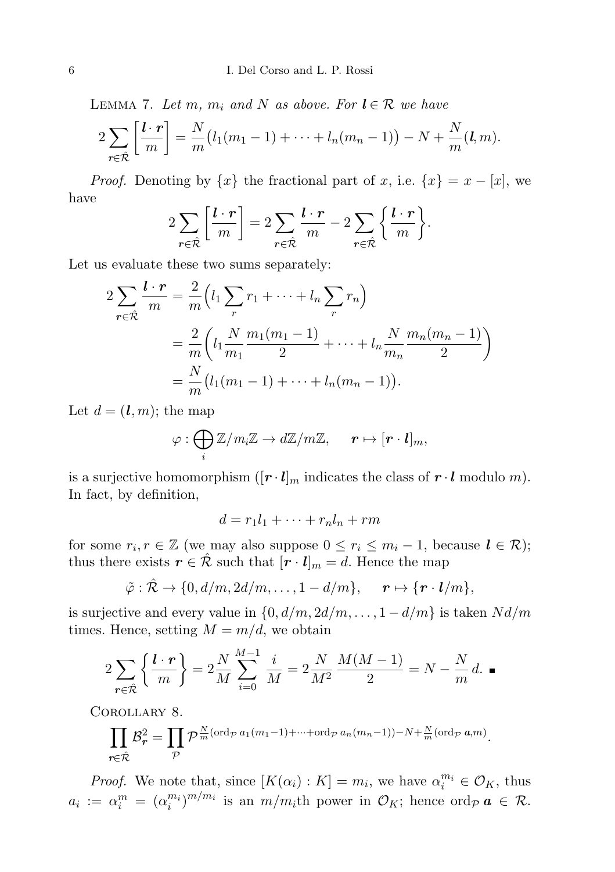<span id="page-5-0"></span>LEMMA 7. Let m,  $m_i$  and N as above. For  $l \in \mathcal{R}$  we have

$$
2\sum_{\mathbf{r}\in\hat{\mathcal{R}}} \left[\frac{\mathbf{l}\cdot\mathbf{r}}{m}\right] = \frac{N}{m}\big(l_1(m_1-1)+\cdots+l_n(m_n-1)\big)-N+\frac{N}{m}(\mathbf{l},m).
$$

*Proof.* Denoting by  $\{x\}$  the fractional part of x, i.e.  $\{x\} = x - [x]$ , we have

$$
2\sum_{\mathbf{r}\in\hat{\mathcal{R}}}\left[\frac{\mathbf{l}\cdot\mathbf{r}}{m}\right] = 2\sum_{\mathbf{r}\in\hat{\mathcal{R}}}\frac{\mathbf{l}\cdot\mathbf{r}}{m} - 2\sum_{\mathbf{r}\in\hat{\mathcal{R}}}\left\{\frac{\mathbf{l}\cdot\mathbf{r}}{m}\right\}.
$$

Let us evaluate these two sums separately:

$$
2\sum_{r \in \hat{\mathcal{R}}} \frac{l \cdot r}{m} = \frac{2}{m} \left( l_1 \sum_{r} r_1 + \dots + l_n \sum_{r} r_n \right)
$$
  
= 
$$
\frac{2}{m} \left( l_1 \frac{N}{m_1} \frac{m_1(m_1 - 1)}{2} + \dots + l_n \frac{N}{m_n} \frac{m_n(m_n - 1)}{2} \right)
$$
  
= 
$$
\frac{N}{m} \left( l_1(m_1 - 1) + \dots + l_n(m_n - 1) \right).
$$

Let  $d = (l, m)$ ; the map

$$
\varphi: \bigoplus_i \mathbb{Z}/m_i\mathbb{Z} \to d\mathbb{Z}/m\mathbb{Z}, \qquad r \mapsto [r \cdot \bm{l}]_m,
$$

is a surjective homomorphism  $([r \cdot l]_m$  indicates the class of  $r \cdot l$  modulo m). In fact, by definition,

$$
d = r_1 l_1 + \dots + r_n l_n + rm
$$

for some  $r_i, r \in \mathbb{Z}$  (we may also suppose  $0 \leq r_i \leq m_i - 1$ , because  $l \in \mathcal{R}$ ); thus there exists  $r \in \hat{\mathcal{R}}$  such that  $[r \cdot l]_m = d$ . Hence the map

$$
\tilde{\varphi}:\hat{\mathcal{R}}\to\{0,d/m,2d/m,\ldots,1-d/m\},\quad \mathbf{r}\mapsto\{\mathbf{r}\cdot\mathbf{l}/m\},\
$$

is surjective and every value in  $\{0, d/m, 2d/m, \ldots, 1 - d/m\}$  is taken  $Nd/m$ times. Hence, setting  $M = m/d$ , we obtain

$$
2\sum_{r \in \hat{\mathcal{R}}} \left\{ \frac{l \cdot r}{m} \right\} = 2\frac{N}{M} \sum_{i=0}^{M-1} \frac{i}{M} = 2\frac{N}{M^2} \frac{M(M-1)}{2} = N - \frac{N}{m} d. \blacksquare
$$

<span id="page-5-1"></span>Corollary 8.

$$
\prod_{r \in \hat{\mathcal{R}}} \mathcal{B}_r^2 = \prod_{\mathcal{P}} \mathcal{P}^{\frac{N}{m}(\text{ord}_{\mathcal{P}} a_1(m_1 - 1) + \dots + \text{ord}_{\mathcal{P}} a_n(m_n - 1)) - N + \frac{N}{m}(\text{ord}_{\mathcal{P}} a, m)}.
$$

*Proof.* We note that, since  $[K(\alpha_i): K] = m_i$ , we have  $\alpha_i^{m_i} \in \mathcal{O}_K$ , thus  $a_i := \alpha_i^m = (\alpha_i^{m_i})^{m/m_i}$  is an  $m/m_i$ th power in  $\mathcal{O}_K$ ; hence ord $\varphi \mathbf{a} \in \mathcal{R}$ .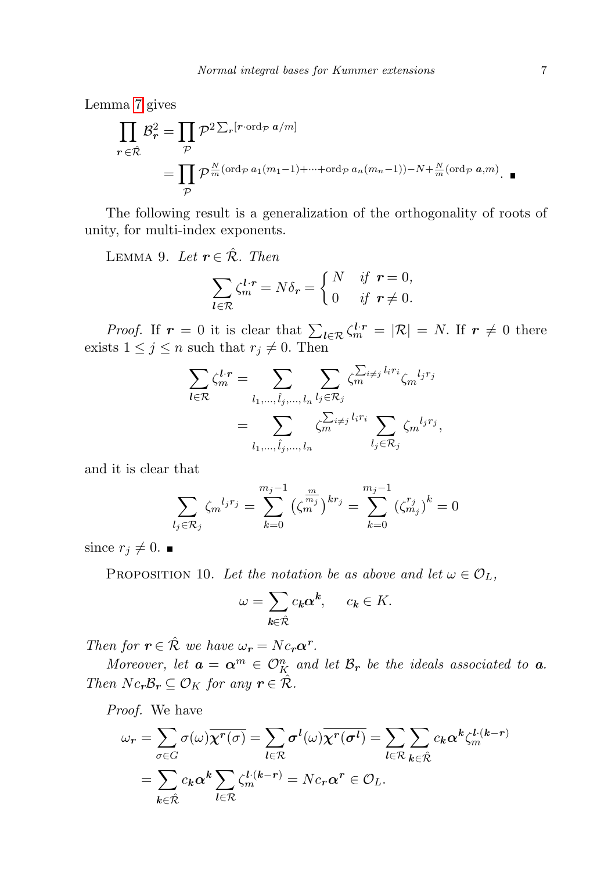Lemma [7](#page-5-0) gives

$$
\prod_{r \in \hat{\mathcal{R}}} \mathcal{B}_r^2 = \prod_{\mathcal{P}} \mathcal{P}^2 \Sigma_r [r \cdot \text{ord}_{\mathcal{P}} a/m]
$$
  
= 
$$
\prod_{\mathcal{P}} \mathcal{P}^{\frac{N}{m}(\text{ord}_{\mathcal{P}} a_1(m_1 - 1) + \dots + \text{ord}_{\mathcal{P}} a_n(m_n - 1)) - N + \frac{N}{m}(\text{ord}_{\mathcal{P}} a, m)}.
$$

The following result is a generalization of the orthogonality of roots of unity, for multi-index exponents.

LEMMA 9. Let  $r \in \mathcal{R}$ . Then

$$
\sum_{l \in \mathcal{R}} \zeta_m^{l \cdot r} = N \delta_r = \begin{cases} N & \text{if } r = 0, \\ 0 & \text{if } r \neq 0. \end{cases}
$$

*Proof.* If  $r = 0$  it is clear that  $\sum_{l \in \mathcal{R}} \zeta_m^{l,r} = |\mathcal{R}| = N$ . If  $r \neq 0$  there exists  $1 \leq j \leq n$  such that  $r_j \neq 0$ . Then

$$
\sum_{l \in \mathcal{R}} \zeta_m^{l \cdot r} = \sum_{l_1, \dots, \hat{l}_j, \dots, l_n} \sum_{l_j \in \mathcal{R}_j} \zeta_m^{\sum_{i \neq j} l_i r_i} \zeta_m^{l_j r_j}
$$

$$
= \sum_{l_1, \dots, \hat{l}_j, \dots, l_n} \zeta_m^{\sum_{i \neq j} l_i r_i} \sum_{l_j \in \mathcal{R}_j} \zeta_m^{l_j r_j},
$$

and it is clear that

$$
\sum_{l_j \in \mathcal{R}_j} \zeta_m^{l_j r_j} = \sum_{k=0}^{m_j - 1} \left( \zeta_m^{m_j} \right)^{k r_j} = \sum_{k=0}^{m_j - 1} \left( \zeta_{m_j}^{r_j} \right)^k = 0
$$

since  $r_j \neq 0$ .

<span id="page-6-0"></span>PROPOSITION 10. Let the notation be as above and let  $\omega \in \mathcal{O}_L$ ,

$$
\omega = \sum_{k \in \hat{\mathcal{R}}} c_k \alpha^k, \quad c_k \in K.
$$

Then for  $r \in \hat{\mathcal{R}}$  we have  $\omega_r = N c_r \alpha^r$ .

Moreover, let  $\boldsymbol{a} = \boldsymbol{\alpha}^m \in \mathcal{O}_K^n$  and let  $\mathcal{B}_r$  be the ideals associated to  $\boldsymbol{a}$ . Then  $N c_r \mathcal{B}_r \subseteq \mathcal{O}_K$  for any  $r \in \hat{\mathcal{R}}$ .

Proof. We have

$$
\omega_r = \sum_{\sigma \in G} \sigma(\omega) \overline{\chi^r(\sigma)} = \sum_{l \in \mathcal{R}} \sigma^l(\omega) \overline{\chi^r(\sigma^l)} = \sum_{l \in \mathcal{R}} \sum_{k \in \hat{\mathcal{R}}} c_k \alpha^k \zeta_m^{l \cdot (k-r)}
$$

$$
= \sum_{k \in \hat{\mathcal{R}}} c_k \alpha^k \sum_{l \in \mathcal{R}} \zeta_m^{l \cdot (k-r)} = N c_r \alpha^r \in \mathcal{O}_L.
$$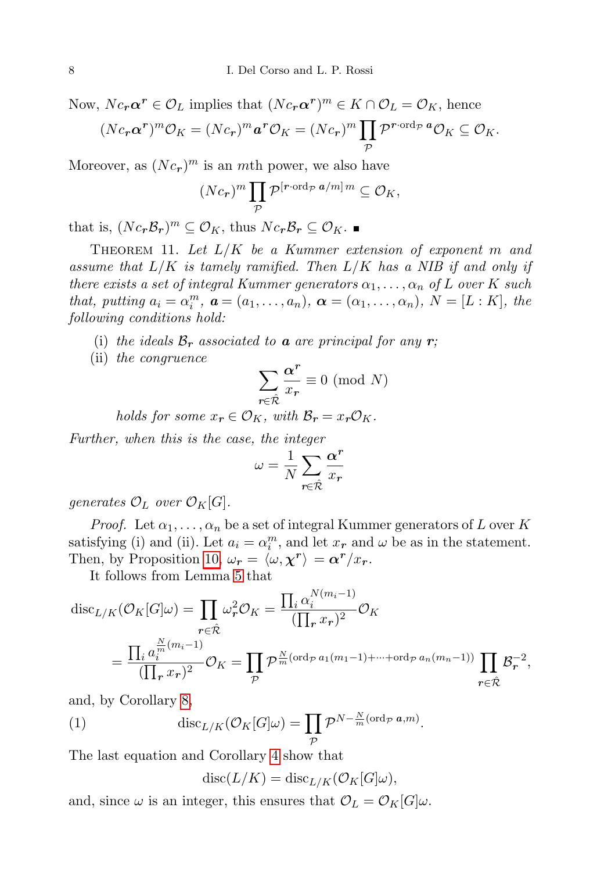Now,  $N c_r \alpha^r \in \mathcal{O}_L$  implies that  $(N c_r \alpha^r)^m \in K \cap \mathcal{O}_L = \mathcal{O}_K$ , hence

$$
(Nc_r\alpha^r)^m\mathcal{O}_K = (Nc_r)^m\mathbf{a}^r\mathcal{O}_K = (Nc_r)^m\prod_p \mathcal{P}^{r\cdot\text{ord}_{\mathcal{P}}\mathbf{a}}\mathcal{O}_K \subseteq \mathcal{O}_K.
$$

Moreover, as  $(Nc_r)^m$  is an mth power, we also have

$$
(Nc_{\boldsymbol{r}})^m \prod_{\mathcal{P}} \mathcal{P}^{[\boldsymbol{r} \cdot \boldsymbol{\operatorname{ord}}_{\mathcal{P}} \, \boldsymbol{a}/m] \, m} \subseteq \mathcal{O}_K,
$$

that is,  $(Nc_r\mathcal{B}_r)^m \subseteq \mathcal{O}_K$ , thus  $Nc_r\mathcal{B}_r \subseteq \mathcal{O}_K$ .

<span id="page-7-0"></span>THEOREM 11. Let  $L/K$  be a Kummer extension of exponent m and assume that  $L/K$  is tamely ramified. Then  $L/K$  has a NIB if and only if there exists a set of integral Kummer generators  $\alpha_1, \ldots, \alpha_n$  of L over K such that, putting  $a_i = \alpha_i^m$ ,  $\mathbf{a} = (a_1, \ldots, a_n)$ ,  $\mathbf{\alpha} = (\alpha_1, \ldots, \alpha_n)$ ,  $N = [L : K]$ , the following conditions hold:

- (i) the ideals  $\mathcal{B}_r$  associated to **a** are principal for any **r**;
- (ii) the congruence

$$
\sum_{r\in \hat{\mathcal{R}}} \frac{\pmb{\alpha}^r}{x_r}\equiv 0\ (\mathrm{mod}\ N)
$$

holds for some  $x_r \in \mathcal{O}_K$ , with  $\mathcal{B}_r = x_r \mathcal{O}_K$ .

Further, when this is the case, the integer

$$
\omega = \frac{1}{N} \sum_{r \in \hat{\mathcal{R}}} \frac{\alpha^r}{x_r}
$$

generates  $\mathcal{O}_L$  over  $\mathcal{O}_K[G]$ .

*Proof.* Let  $\alpha_1, \ldots, \alpha_n$  be a set of integral Kummer generators of L over K satisfying (i) and (ii). Let  $a_i = \alpha_i^m$ , and let  $x_r$  and  $\omega$  be as in the statement. Then, by Proposition [10,](#page-6-0)  $\omega_r = \langle \omega, \chi^r \rangle = \alpha^r / x_r$ .

It follows from Lemma [5](#page-4-0) that

$$
\operatorname{disc}_{L/K}(\mathcal{O}_K[G]\omega) = \prod_{r \in \hat{\mathcal{R}}} \omega_r^2 \mathcal{O}_K = \frac{\prod_i \alpha_i^{N(m_i - 1)}}{(\prod_r x_r)^2} \mathcal{O}_K
$$

$$
= \frac{\prod_i a_i^{\frac{N}{m}(m_i - 1)}}{(\prod_r x_r)^2} \mathcal{O}_K = \prod_{\mathcal{P}} \mathcal{P}^{\frac{N}{m}(\text{ord}_{\mathcal{P}} a_1(m_1 - 1) + \dots + \text{ord}_{\mathcal{P}} a_n(m_n - 1))} \prod_{r \in \hat{\mathcal{R}}} \mathcal{B}_r^{-2},
$$

and, by Corollary [8,](#page-5-1)

(1) 
$$
\operatorname{disc}_{L/K}(\mathcal{O}_K[G]\omega) = \prod_{\mathcal{P}} \mathcal{P}^{N-\frac{N}{m}(\operatorname{ord}_{\mathcal{P}} a,m)}.
$$

The last equation and Corollary [4](#page-3-0) show that

<span id="page-7-1"></span>
$$
disc(L/K) = disc_{L/K}(\mathcal{O}_K[G]\omega),
$$

and, since  $\omega$  is an integer, this ensures that  $\mathcal{O}_L = \mathcal{O}_K[G]\omega$ .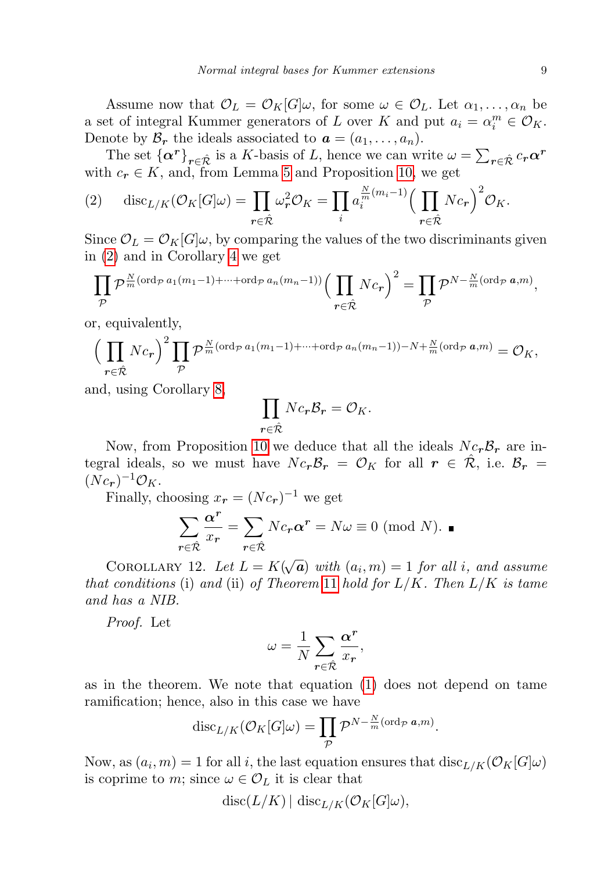Assume now that  $\mathcal{O}_L = \mathcal{O}_K[G]\omega$ , for some  $\omega \in \mathcal{O}_L$ . Let  $\alpha_1, \ldots, \alpha_n$  be a set of integral Kummer generators of L over K and put  $a_i = \alpha_i^m \in \mathcal{O}_K$ . Denote by  $\mathcal{B}_r$  the ideals associated to  $\mathbf{a} = (a_1, \ldots, a_n)$ .

The set  $\{\alpha^r\}_{r \in \hat{\mathcal{R}}}$  is a K-basis of L, hence we can write  $\omega = \sum_{r \in \hat{\mathcal{R}}} c_r \alpha^r$ with  $c_r \in K$ , and, from Lemma [5](#page-4-0) and Proposition [10,](#page-6-0) we get

<span id="page-8-0"></span>(2) 
$$
\operatorname{disc}_{L/K}(\mathcal{O}_K[G]\omega) = \prod_{r \in \hat{\mathcal{R}}} \omega_r^2 \mathcal{O}_K = \prod_i a_i^{\frac{N}{m}(m_i - 1)} \Big(\prod_{r \in \hat{\mathcal{R}}} N c_r\Big)^2 \mathcal{O}_K.
$$

Since  $\mathcal{O}_L = \mathcal{O}_K[G]\omega$ , by comparing the values of the two discriminants given in [\(2\)](#page-8-0) and in Corollary [4](#page-3-0) we get

$$
\prod_{\mathcal{P}} \mathcal{P}^{\frac{N}{m}(\text{ord}_{\mathcal{P}} a_1(m_1-1)+\cdots+\text{ord}_{\mathcal{P}} a_n(m_n-1))} \Big(\prod_{r \in \hat{\mathcal{R}}} N c_r\Big)^2 = \prod_{\mathcal{P}} \mathcal{P}^{N-\frac{N}{m}(\text{ord}_{\mathcal{P}} a,m)},
$$

or, equivalently,

$$
\left(\prod_{r\in\hat{\mathcal{R}}}Nc_r\right)^2\prod_{\mathcal{P}}\mathcal{P}_m^{\frac{N}{m}(\text{ord}_{\mathcal{P}}a_1(m_1-1)+\cdots+\text{ord}_{\mathcal{P}}a_n(m_n-1))-N+\frac{N}{m}(\text{ord}_{\mathcal{P}}a,m)}=\mathcal{O}_K,
$$

and, using Corollary [8,](#page-5-1)

$$
\prod_{r \in \hat{\mathcal{R}}} N c_r \mathcal{B}_r = \mathcal{O}_K.
$$

Now, from Proposition [10](#page-6-0) we deduce that all the ideals  $N c_r B_r$  are integral ideals, so we must have  $N c_r \mathcal{B}_r = \mathcal{O}_K$  for all  $r \in \mathcal{R}$ , i.e.  $\mathcal{B}_r =$  $(Nc_r )^{-1} \mathcal{O}_K$ .

Finally, choosing  $x_r = (N c_r)^{-1}$  we get

$$
\sum_{r \in \hat{\mathcal{R}}} \frac{\alpha^r}{x_r} = \sum_{r \in \hat{\mathcal{R}}} N c_r \alpha^r = N \omega \equiv 0 \pmod{N}.
$$

COROLLARY 12. Let  $L = K(\sqrt{\frac{2\pi}{\epsilon}})$  $\overline{\bm{a}})$  with  $(a_i,m)=1$  for all i, and assume that conditions (i) and (ii) of Theorem [11](#page-7-0) hold for  $L/K$ . Then  $L/K$  is tame and has a NIB.

Proof. Let

$$
\omega = \frac{1}{N} \sum_{r \in \hat{\mathcal{R}}} \frac{\alpha^r}{x_r},
$$

as in the theorem. We note that equation [\(1\)](#page-7-1) does not depend on tame ramification; hence, also in this case we have

$$
\mathrm{disc}_{L/K}(\mathcal{O}_K[G]\omega) = \prod_{\mathcal{P}} \mathcal{P}^{N-\frac{N}{m}(\mathrm{ord}_{\mathcal{P}} \ a,m)}.
$$

Now, as  $(a_i, m) = 1$  for all i, the last equation ensures that  ${\rm disc}_{L/K}(\mathcal{O}_K[G]\omega)$ is coprime to m; since  $\omega \in \mathcal{O}_L$  it is clear that

$$
disc(L/K) | disc_{L/K}(\mathcal{O}_K[G]\omega),
$$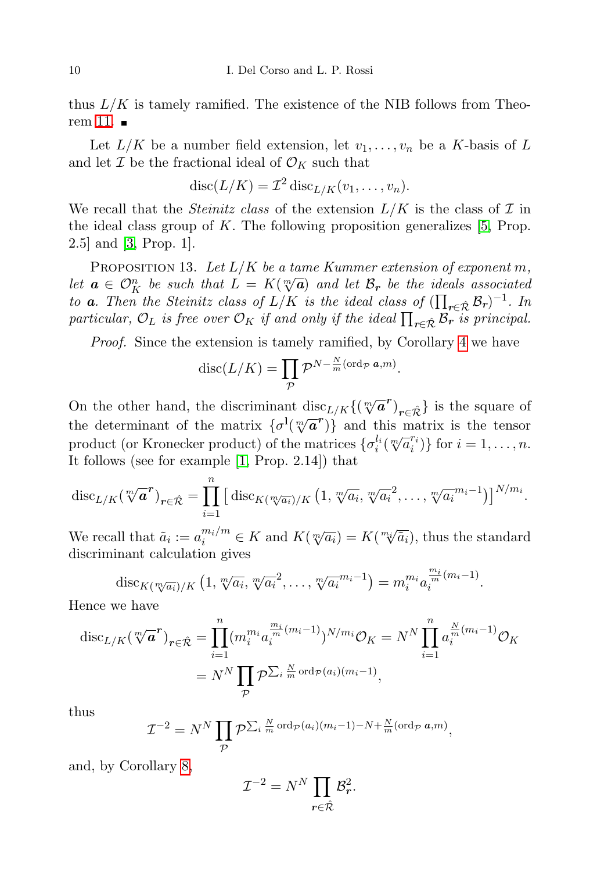thus  $L/K$  is tamely ramified. The existence of the NIB follows from Theo-rem [11.](#page-7-0)  $\blacksquare$ 

Let  $L/K$  be a number field extension, let  $v_1, \ldots, v_n$  be a K-basis of L and let  $\mathcal I$  be the fractional ideal of  $\mathcal O_K$  such that

$$
disc(L/K) = \mathcal{I}^2 \operatorname{disc}_{L/K}(v_1, \ldots, v_n).
$$

We recall that the *Steinitz class* of the extension  $L/K$  is the class of  $\mathcal I$  in the ideal class group of K. The following proposition generalizes  $[5, Prop.$  $[5, Prop.$ 2.5] and [\[3,](#page-22-2) Prop. 1].

<span id="page-9-0"></span>PROPOSITION 13. Let  $L/K$  be a tame Kummer extension of exponent m, I ROPOSITION 13. Let  $L/K$  be a tame Kammer extension of exponent in,<br>let  $\mathbf{a} \in \mathcal{O}_K^n$  be such that  $L = K(\sqrt[m]{\mathbf{a}})$  and let  $\mathcal{B}_r$  be the ideals associated to **a**. Then the Steinitz class of  $L/K$  is the ideal class of  $(\prod_{r \in \hat{\mathcal{R}}} \mathcal{B}_r)^{-1}$ . In particular,  $\mathcal{O}_L$  is free over  $\mathcal{O}_K$  if and only if the ideal  $\prod_{r \in \hat{\mathcal{R}}} \mathcal{B}_r$  is principal.

Proof. Since the extension is tamely ramified, by Corollary [4](#page-3-0) we have

$$
\mathrm{disc}(L/K) = \prod_{\mathcal{P}} \mathcal{P}^{N-\frac{N}{m}(\mathrm{ord}_{\mathcal{P}} \ a,m)}.
$$

On the other hand, the discriminant disc<sub>L/K</sub>{( $\sqrt[m]{a}^r$ )<sub>r∈ $\hat{\mathcal{R}}$ </sub>} is the square of the determinant of the matrix  $\{\sigma^I(\sqrt[m]{a}^r)\}\$ and this matrix is the tensor product (or Kronecker product) of the matrices  $\{\sigma_i^{l_i}(\sqrt[m]{a_i^{r_i}})\}$  for  $i = 1, ..., n$ . It follows (see for example [\[1,](#page-21-0) Prop. 2.14]) that

$$
\mathrm{disc}_{L/K}(\sqrt[m]{\bm{a}}^{\bm{r}})_{\bm{r}\in\hat{\mathcal{R}}}=\prod_{i=1}^n\big[\mathrm{disc}_{K(\sqrt[m]{a_i})/K}\left(1,\sqrt[m]{a_i},\sqrt[m]{a_i}^2,\ldots,\sqrt[m]{a_i}^{m_i-1}\right)\big]^{N/m_i}.
$$

We recall that  $\tilde{a}_i := a_i^{m_i/m} \in K$  and  $K(\sqrt[m]{a_i}) = K(\sqrt[m_i]{\sqrt[n_i]{a_i}})$  $(\overline{a}_i)$ , thus the standard discriminant calculation gives

$$
\mathrm{disc}_{K(\sqrt[m]{a_i})/K}\left(1,\sqrt[m]{a_i},\sqrt[m]{a_i^2},\ldots,\sqrt[m]{a_i}^{m_i-1}\right)=m_i^{m_i}a_i^{\frac{m_i}{m}(m_i-1)}.
$$

Hence we have

$$
\operatorname{disc}_{L/K}(\sqrt[m]{a}^r)_{r \in \hat{\mathcal{R}}} = \prod_{i=1}^n (m_i^{m_i} a_i^{\frac{m_i}{m}(m_i-1)})^{N/m_i} O_K = N^N \prod_{i=1}^n a_i^{\frac{N}{m}(m_i-1)} O_K
$$
  
=  $N^N \prod_{\mathcal{P}} \mathcal{P}^{\sum_i \frac{N}{m} \operatorname{ord}_{\mathcal{P}}(a_i)(m_i-1)},$ 

thus

$$
\mathcal{I}^{-2} = N^N \prod_{\mathcal{P}} \mathcal{P}^{\sum_i \frac{N}{m} \operatorname{ord}_{\mathcal{P}}(a_i)(m_i-1) - N + \frac{N}{m} (\operatorname{ord}_{\mathcal{P}} a, m)},
$$

and, by Corollary [8,](#page-5-1)

$$
\mathcal{I}^{-2} = N^N \prod_{r \in \hat{\mathcal{R}}} \mathcal{B}_r^2.
$$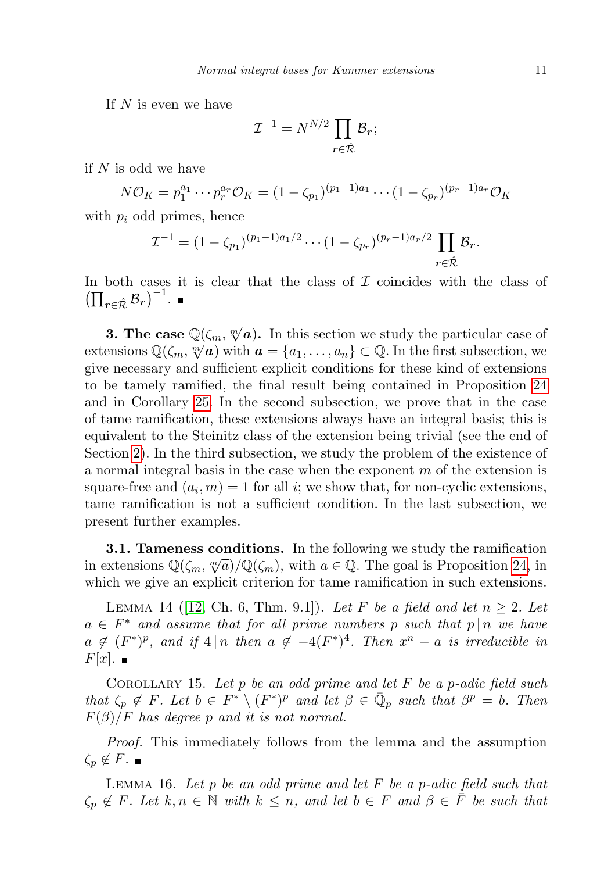If  $N$  is even we have

$$
\mathcal{I}^{-1} = N^{N/2} \prod_{\boldsymbol{r} \in \hat{\mathcal{R}}} \mathcal{B}_{\boldsymbol{r}};
$$

if  $N$  is odd we have

$$
N\mathcal{O}_K = p_1^{a_1} \cdots p_r^{a_r} \mathcal{O}_K = (1 - \zeta_{p_1})^{(p_1 - 1)a_1} \cdots (1 - \zeta_{p_r})^{(p_r - 1)a_r} \mathcal{O}_K
$$

with  $p_i$  odd primes, hence

$$
\mathcal{I}^{-1} = (1 - \zeta_{p_1})^{(p_1 - 1)a_1/2} \cdots (1 - \zeta_{p_r})^{(p_r - 1)a_r/2} \prod_{r \in \hat{\mathcal{R}}} \mathcal{B}_r.
$$

In both cases it is clear that the class of  $\mathcal I$  coincides with the class of  $\left(\prod_{r\in\hat{\mathcal{R}}}\mathcal{B}_r\right)^{-1}.$ 

**3. The case**  $\mathbb{Q}(\zeta_m, \sqrt[m]{a})$ . In this section we study the particular case of **3.** The case  $\mathbb{Q}(\zeta_m, \sqrt[n]{a})$  with  $a = \{a_1, \ldots, a_n\} \subset \mathbb{Q}$ . In the first subsection, we extensions  $\mathbb{Q}(\zeta_m, \sqrt[n]{a})$  with  $a = \{a_1, \ldots, a_n\}$ give necessary and sufficient explicit conditions for these kind of extensions to be tamely ramified, the final result being contained in Proposition [24](#page-14-0) and in Corollary [25.](#page-14-1) In the second subsection, we prove that in the case of tame ramification, these extensions always have an integral basis; this is equivalent to the Steinitz class of the extension being trivial (see the end of Section [2\)](#page-1-0). In the third subsection, we study the problem of the existence of a normal integral basis in the case when the exponent  $m$  of the extension is square-free and  $(a_i, m) = 1$  for all *i*; we show that, for non-cyclic extensions, tame ramification is not a sufficient condition. In the last subsection, we present further examples.

<span id="page-10-0"></span>**3.1. Tameness conditions.** In the following we study the ramification **i.1. Tallieness conditions.** In the following we study the randication in extensions  $\mathbb{Q}(\zeta_m, \sqrt[m]{a})/\mathbb{Q}(\zeta_m)$ , with  $a \in \mathbb{Q}$ . The goal is Proposition [24,](#page-14-0) in which we give an explicit criterion for tame ramification in such extensions.

<span id="page-10-3"></span>LEMMA 14 ([\[12,](#page-22-7) Ch. 6, Thm. 9.1]). Let F be a field and let  $n \geq 2$ . Let  $a \in F^*$  and assume that for all prime numbers p such that  $p \mid n$  we have  $a \notin (F^*)^p$ , and if  $4 \mid n$  then  $a \notin -4(F^*)^4$ . Then  $x^n - a$  is irreducible in  $F[x]$ .

<span id="page-10-1"></span>COROLLARY 15. Let p be an odd prime and let  $F$  be a p-adic field such that  $\zeta_p \notin F$ . Let  $b \in F^* \setminus (F^*)^p$  and let  $\beta \in \bar{\mathbb{Q}}_p$  such that  $\beta^p = b$ . Then  $F(\beta)/F$  has degree p and it is not normal.

Proof. This immediately follows from the lemma and the assumption  $\zeta_p \notin F$ .  $\blacksquare$ 

<span id="page-10-2"></span>LEMMA 16. Let  $p$  be an odd prime and let  $F$  be a p-adic field such that  $\zeta_p \notin F$ . Let  $k, n \in \mathbb{N}$  with  $k \leq n$ , and let  $b \in F$  and  $\beta \in \overline{F}$  be such that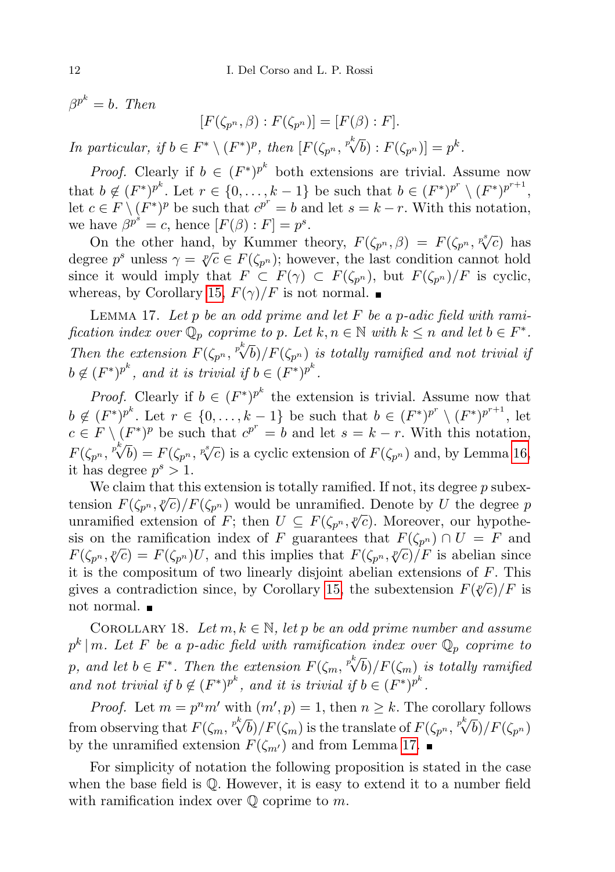$\beta^{p^k}=b$ . Then

$$
[F(\zeta_{p^n}, \beta) : F(\zeta_{p^n})] = [F(\beta) : F].
$$

In particular, if  $b \in F^* \setminus (F^*)^p$ , then  $[F(\zeta_{p^n}, {^{p^k}\!\sqrt{b}}) : F(\zeta_{p^n})] = p^k$ .

*Proof.* Clearly if  $b \in (F^*)^{p^k}$  both extensions are trivial. Assume now that  $b \notin (F^*)^{p^k}$ . Let  $r \in \{0, \ldots, k-1\}$  be such that  $b \in (F^*)^{p^r} \setminus (F^*)^{p^{r+1}}$ , let  $c \in F \setminus (F^*)^p$  be such that  $c^{p^r} = b$  and let  $s = k - r$ . With this notation, we have  $\beta^{p^s} = c$ , hence  $[F(\beta):F] = p^s$ .

There  $P^2 = c$ , hence  $[P(\beta): F] = p$ .<br>On the other hand, by Kummer theory,  $F(\zeta_{p^n}, \beta) = F(\zeta_{p^n}, {p^s \sqrt{\overline{C}}})$  has On the other hand, by Kunnifer theory,  $F(\zeta_{p^n}, \beta) = F(\zeta_{p^n}, \gamma c)$  has degree  $p^s$  unless  $\gamma = \sqrt[p]{c} \in F(\zeta_{p^n})$ ; however, the last condition cannot hold since it would imply that  $F \subset F(\gamma) \subset F(\zeta_{p^n})$ , but  $F(\zeta_{p^n})/F$  is cyclic, whereas, by Corollary [15,](#page-10-1)  $F(\gamma)/F$  is not normal.

<span id="page-11-0"></span>LEMMA 17. Let  $p$  be an odd prime and let  $F$  be a  $p$ -adic field with ramification index over  $\mathbb{Q}_p$  coprime to p. Let  $k, n \in \mathbb{N}$  with  $k \leq n$  and let  $b \in F^*$ . Then the extension  $F(\zeta_{p^n}, {^{p^k}\!\sqrt{b}})/F(\zeta_{p^n})$  is totally ramified and not trivial if  $b \notin (F^*)^{p^k}$ , and it is trivial if  $b \in (F^*)^{p^k}$ .

*Proof.* Clearly if  $b \in (F^*)^{p^k}$  the extension is trivial. Assume now that  $b \notin (F^*)^{p^k}$ . Let  $r \in \{0, \ldots, k-1\}$  be such that  $b \in (F^*)^{p^r} \setminus (F^*)^{p^{r+1}}$ , let  $c \in F \setminus (F^*)^p$  be such that  $c^{p^r} = b$  and let  $s = k - r$ . With this notation,  $F(\zeta_{p^n}, \sqrt[p]{b}) = F(\zeta_{p^n}, \sqrt[p]{c})$  is a cyclic extension of  $F(\zeta_{p^n})$  and, by Lemma [16,](#page-10-2) it has degree  $p^s > 1$ .

We claim that this extension is totally ramified. If not, its degree  $p$  subexwe claim that this extension is totally raining in not, its degree p subex-<br>tension  $F(\zeta_{p^n}, \psi_C)/F(\zeta_{p^n})$  would be unramified. Denote by U the degree p dension  $P(\varsigma_{p^n}, \varsigma_{p^n})$  would be unramified. Denote by  $\upsilon$  the degree  $p$  unramified extension of  $F$ ; then  $U \subseteq F(\varsigma_{p^n}, \varsigma_{p^n})$ . Moreover, our hypothesis on the ramification index of F guarantees that  $F(\zeta_{p^n}) \cap U = F$  and Solution is that  $F(\zeta_{p^n}, \psi_C) = F(\zeta_{p^n})U$ , and this implies that  $F(\zeta_{p^n}, \psi_C)/F$  is abelian since it is the compositum of two linearly disjoint abelian extensions of  $F$ . This It is the compositum of two mearly disjoint abendiff extensions of F. This gives a contradiction since, by Corollary [15,](#page-10-1) the subextension  $F(\sqrt[p]{c})/F$  is not normal.

<span id="page-11-1"></span>COROLLARY 18. Let  $m, k \in \mathbb{N}$ , let p be an odd prime number and assume  $p^k \mid m$ . Let F be a p-adic field with ramification index over  $\mathbb{Q}_p$  coprime to p, and let  $b \in F^*$ . Then the extension  $F(\zeta_m, {^{p^k}\!}\langle \bar{b})/F(\zeta_m)$  is totally ramified<br>p, and let  $b \in F^*$ . Then the extension  $F(\zeta_m, {^{p^k}\!}\langle \bar{b})/F(\zeta_m)$  is totally ramified and not trivial if  $b \notin (F^*)^{p^k}$ , and it is trivial if  $b \in (F^*)^{p^k}$ .

*Proof.* Let  $m = p^n m'$  with  $(m', p) = 1$ , then  $n \geq k$ . The corollary follows from observing that  $F(\zeta_m, \frac{p^k}{\sqrt{b}})/F(\zeta_m)$  is the translate of  $F(\zeta_{p^n}, \frac{p^k}{\sqrt{b}})/F(\zeta_{p^n})$ by the unramified extension  $F(\zeta_{m'})$  and from Lemma [17.](#page-11-0)

<span id="page-11-2"></span>For simplicity of notation the following proposition is stated in the case when the base field is Q. However, it is easy to extend it to a number field with ramification index over  $\mathbb Q$  coprime to m.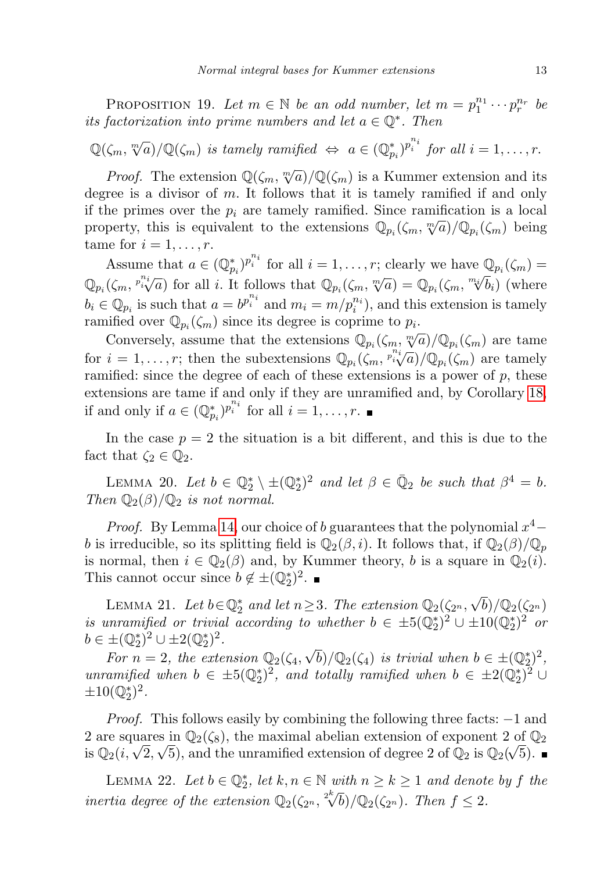PROPOSITION 19. Let  $m \in \mathbb{N}$  be an odd number, let  $m = p_1^{n_1} \cdots p_r^{n_r}$  be its factorization into prime numbers and let  $a \in \mathbb{Q}^*$ . Then

 $\mathbb{Q}(\zeta_m, \sqrt[m]{a})/\mathbb{Q}(\zeta_m)$  is tamely ramified  $\Leftrightarrow a \in (\mathbb{Q}_{p_i}^*)^{p_i^{n_i}}$  for all  $i = 1, \ldots, r$ .

*Proof.* The extension  $\mathbb{Q}(\zeta_m, \sqrt[m]{a})/\mathbb{Q}(\zeta_m)$  is a Kummer extension and its degree is a divisor of  $m$ . It follows that it is tamely ramified if and only if the primes over the  $p_i$  are tamely ramified. Since ramification is a local m the primes over the  $p_i$  are tamely rammed. Since rammedition is a local property, this is equivalent to the extensions  $\mathbb{Q}_{p_i}(\zeta_m, \sqrt[m]{a})/\mathbb{Q}_{p_i}(\zeta_m)$  being tame for  $i = 1, \ldots, r$ .

Assume that  $a \in (\mathbb{Q}_{p_i}^*)^{p_i^{n_i}}$  for all  $i = 1, \ldots, r$ ; clearly we have  $\mathbb{Q}_{p_i}(\zeta_m) =$ Assume that  $a \in (\mathfrak{C}_{p_i})^{\mathfrak{C}}$  for all i. It follows that  $\mathbb{Q}_{p_i}(\zeta_m, \mathfrak{N}^{\mathfrak{C}}) = \mathbb{Q}_{p_i}(\zeta_m, \mathfrak{N}^{\mathfrak{C}})$  $b_i)$  (where  $b_i \in \mathbb{Q}_{p_i}$  is such that  $a = b^{p_i^{n_i}}$  and  $m_i = m/p_i^{n_i}$ , and this extension is tamely ramified over  $\mathbb{Q}_{p_i}(\zeta_m)$  since its degree is coprime to  $p_i$ .

Conversely, assume that the extensions  $\mathbb{Q}_{p_i}(\zeta_m, \sqrt[m]{a})/\mathbb{Q}_{p_i}(\zeta_m)$  are tame for  $i = 1, \ldots, r$ ; then the subextensions  $\mathbb{Q}_{p_i}(\zeta_m, \stackrel{p_i}{\cdots}, \overline{\zeta}_l) / \mathbb{Q}_{p_i}(\zeta_m)$  are tamely ramified: since the degree of each of these extensions is a power of  $p$ , these extensions are tame if and only if they are unramified and, by Corollary [18,](#page-11-1) if and only if  $a \in (\mathbb{Q}_{p_i}^*)^{p_i^{n_i}}$  for all  $i = 1, \ldots, r$ .

In the case  $p = 2$  the situation is a bit different, and this is due to the fact that  $\zeta_2 \in \mathbb{Q}_2$ .

<span id="page-12-0"></span>LEMMA 20. Let  $b \in \mathbb{Q}_2^* \setminus \pm (\mathbb{Q}_2^*)^2$  and let  $\beta \in \bar{\mathbb{Q}}_2$  be such that  $\beta^4 = b$ . Then  $\mathbb{Q}_2(\beta)/\mathbb{Q}_2$  is not normal.

*Proof.* By Lemma [14,](#page-10-3) our choice of b guarantees that the polynomial  $x^4$ b is irreducible, so its splitting field is  $\mathbb{Q}_2(\beta, i)$ . It follows that, if  $\mathbb{Q}_2(\beta)/\mathbb{Q}_p$ is normal, then  $i \in \mathbb{Q}_2(\beta)$  and, by Kummer theory, b is a square in  $\mathbb{Q}_2(i)$ . This cannot occur since  $b \notin \pm (\mathbb{Q}_2^*)^2$ .

<span id="page-12-1"></span>LEMMA 21. Let  $b \in \mathbb{Q}_2^*$  and let  $n \geq 3$ . The extension  $\mathbb{Q}_2(\zeta_{2^n}, \sqrt{b})/\mathbb{Q}_2(\zeta_{2^n})$ is unramified or trivial according to whether  $b \in \pm 5(\mathbb{Q}_2^*)^2 \cup \pm 10(\mathbb{Q}_2^*)^2$  or  $b \in \pm (\mathbb{Q}_2^*)^2 \cup \pm 2(\mathbb{Q}_2^*)^2$ .

 $\mathcal{F}(\mathcal{L}_2) \cup \mathcal{F}(\mathcal{L}_2)$ .<br>For  $n = 2$ , the extension  $\mathbb{Q}_2(\zeta_4, \sqrt{b})/\mathbb{Q}_2(\zeta_4)$  is trivial when  $b \in \pm(\mathbb{Q}_2^*)^2$ . unramified when  $b \in \pm 5(\mathbb{Q}_2^*)^2$ , and totally ramified when  $b \in \pm 2(\mathbb{Q}_2^*)^2$  $\pm 10(\mathbb{Q}_2^*)^2$ .

*Proof.* This follows easily by combining the following three facts:  $-1$  and 2 are squares in  $\mathbb{Q}_2(\zeta_8)$ , the maximal abelian extension of exponent 2 of  $\mathbb{Q}_2$ z are squares in  $\mathbb{Q}_2(\zeta_8)$ , the maximal abelian extension of exponent z or  $\mathbb{Q}_2(i, \sqrt{2}, \sqrt{5})$ , and the unramified extension of degree 2 of  $\mathbb{Q}_2$  is  $\mathbb{Q}_2(\sqrt{5})$ .

<span id="page-12-2"></span>LEMMA 22. Let  $b \in \mathbb{Q}_2^*$ , let  $k, n \in \mathbb{N}$  with  $n \geq k \geq 1$  and denote by f the inertia degree of the extension  $\mathbb{Q}_2(\zeta_{2^n}, \sqrt[n]{b})/\mathbb{Q}_2(\zeta_{2^n})$ . Then  $f \leq 2$ .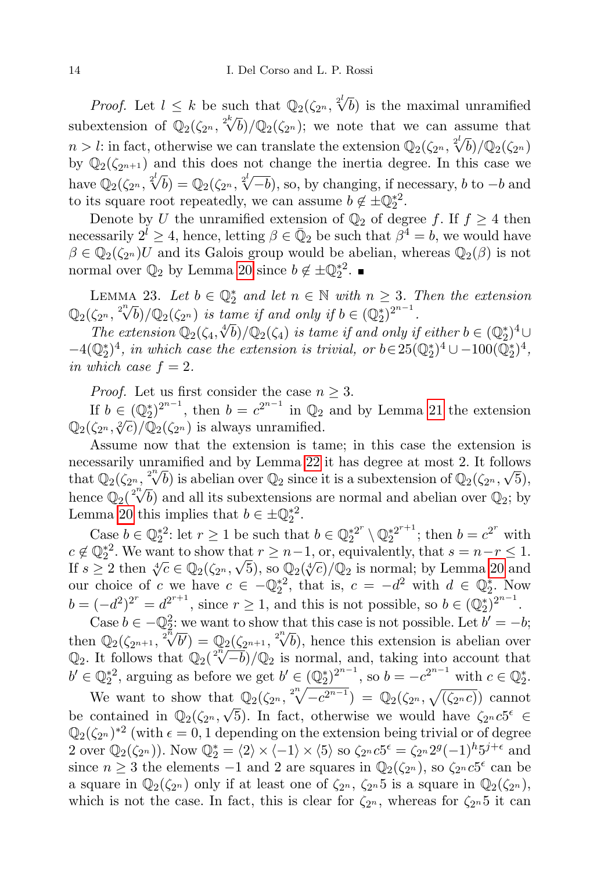*Proof.* Let  $l \leq k$  be such that  $\mathbb{Q}_2(\zeta_{2^n}, \sqrt[2^l]{b})$  is the maximal unramified subextension of  $\mathbb{Q}_2(\zeta_{2^n}, \sqrt[2^{k}]{b})/\mathbb{Q}_2(\zeta_{2^n})$ ; we note that we can assume that subclatelision of  $\mathcal{Q}_2(\mathcal{S}_2^{2n}, \mathcal{N}_2)/\mathcal{Q}_2(\mathcal{S}_2^{2n})$ , we note that we can assume that  $n > l$ : in fact, otherwise we can translate the extension  $\mathbb{Q}_2(\zeta_{2n}, \sqrt[2]{b})/\mathbb{Q}_2(\zeta_{2n})$ by  $\mathbb{Q}_2(\zeta_{2n+1})$  and this does not change the inertia degree. In this case we by  $\mathbb{Q}_2(\zeta_{2n+1})$  and this does not enange the inertial degree. In this case we<br>have  $\mathbb{Q}_2(\zeta_{2n}, \sqrt[2]{b}) = \mathbb{Q}_2(\zeta_{2n}, \sqrt[2]{-b})$ , so, by changing, if necessary, b to  $-b$  and to its square root repeatedly, we can assume  $b \notin \pm \mathbb{Q}_2^{*2}$ .

Denote by U the unramified extension of  $\mathbb{Q}_2$  of degree f. If  $f \geq 4$  then necessarily  $2^{\tilde{l}} \geq 4$ , hence, letting  $\beta \in \bar{Q}_2$  be such that  $\beta^{\tilde{4}} = b$ , we would have  $\beta \in \mathbb{Q}_2(\zeta_{2^n})$ U and its Galois group would be abelian, whereas  $\mathbb{Q}_2(\beta)$  is not normal over  $\mathbb{Q}_2$  by Lemma [20](#page-12-0) since  $b \notin \pm \mathbb{Q}_2^{*2}$ .

LEMMA 23. Let  $b \in \mathbb{Q}_2^*$  and let  $n \in \mathbb{N}$  with  $n \geq 3$ . Then the extension LEMMA 23. Let  $0 \in \mathbb{Q}_2^2$  and let  $n \in \mathbb{N}$  with  $n \geq 3$ .<br> $\mathbb{Q}_2(\zeta_{2^n}, \sqrt[n]{b})/\mathbb{Q}_2(\zeta_{2^n})$  is tame if and only if  $b \in (\mathbb{Q}_2^*)^{2^{n-1}}$ .

 $\chi_2^{(2n)}$ ,  $\chi_0^{(1)}$   $\chi_2^{(2n)}$  is tame if and only  $y \in (\mathcal{Q}_2)$ <br>The extension  $\mathbb{Q}_2(\zeta_4, \sqrt[4]{b})/\mathbb{Q}_2(\zeta_4)$  is tame if and only if either  $b \in (\mathbb{Q}_2^*)^4 \cup$  $-4(\mathbb{Q}_2^*)^4$ , in which case the extension is trivial, or  $b \in 25(\mathbb{Q}_2^*)^4 \cup -100(\bar{\mathbb{Q}}_2^*)^4$ , in which case  $f = 2$ .

*Proof.* Let us first consider the case  $n \geq 3$ .

If  $b \in (\mathbb{Q}_2^*)^{2^{n-1}}$ , then  $b = c^{2^{n-1}}$  in  $\mathbb{Q}_2$  and by Lemma [21](#page-12-1) the extension  $\mathbb{Q}_2(\zeta_{2^n}, \sqrt[2]{c})/\mathbb{Q}_2(\zeta_{2^n})$  is always unramified.

Assume now that the extension is tame; in this case the extension is necessarily unramified and by Lemma [22](#page-12-2) it has degree at most 2. It follows necessarily unramined and by Lemma 22 it has degree at most 2. It follows<br>that  $\mathbb{Q}_2(\zeta_{2^n}, \sqrt[n]{b})$  is abelian over  $\mathbb{Q}_2$  since it is a subextension of  $\mathbb{Q}_2(\zeta_{2^n}, \sqrt{5})$ , that  $\mathcal{Q}_2(\mathcal{S}_2^n, \mathcal{V}_0)$  is abelian over  $\mathcal{Q}_2$  since it is a subextension of  $\mathcal{Q}_2(\mathcal{S}_2^n, \mathcal{V}_0)$ ,<br>hence  $\mathbb{Q}_2(\sqrt[2^n]{b})$  and all its subextensions are normal and abelian over  $\mathbb{Q}_2$ ; by Lemma [20](#page-12-0) this implies that  $b \in \pm \mathbb{Q}_2^{*2}$ .

Case  $b \in \mathbb{Q}_2^{*2}$ : let  $r \geq 1$  be such that  $b \in \mathbb{Q}_2^{*2^r}$  $\mathbb{Q}_2^{*2^r}\setminus{\mathbb{Q}_2^{*2^{r+1}}}$  $i_2^{*2^{r+1}}$ ; then  $b = c^{2^r}$  with  $c \notin \mathbb{Q}_2^{*2}$ . We want to show that  $r \geq n-1$ , or, equivalently, that  $s = n-r \leq 1$ .  $c \notin \mathcal{Q}_2$ . We want to show that  $r \geq n-1$ , or, equivalently, that  $s = n-r \leq 1$ .<br>If  $s \geq 2$  then  $\sqrt[4]{c} \in \mathbb{Q}_2(\zeta_{2^n}, \sqrt{5})$ , so  $\mathbb{Q}_2(\sqrt[4]{c})/\mathbb{Q}_2$  is normal; by Lemma [20](#page-12-0) and our choice of c we have  $c \in -\mathbb{Q}_2^{*2}$ , that is,  $c = -d^2$  with  $d \in \mathbb{Q}_2^*$ . Now  $b = (-d^2)^{2^r} = d^{2^{r+1}}$ , since  $r \ge 1$ , and this is not possible, so  $b \in (\mathbb{Q}_2^*)^{2^{n-1}}$ .

Case  $b \in -\mathbb{Q}_2^2$ : we want to show that this case is not possible. Let  $b' = -b$ ; Case  $0 \in -\mathbb{Q}_2$ : we want to show that this case is not possible. Let  $0 = -0$ ;<br>then  $\mathbb{Q}_2(\zeta_{2n+1}, \sqrt[2^n]{b'}) = \mathbb{Q}_2(\zeta_{2n+1}, \sqrt[2^n]{b})$ , hence this extension is abelian over then  $\mathbb{Q}_2(\zeta_{2^{n+1}}, \sqrt{\nu}) = \mathbb{Q}_2(\zeta_{2^{n+1}}, \sqrt{\nu})$ , hence this extension is abelian over  $\mathbb{Q}_2$ . It follows that  $\mathbb{Q}_2(\sqrt[n]{-\delta})/\mathbb{Q}_2$  is normal, and, taking into account that  $b' \in \mathbb{Q}_2^{*2}$ , arguing as before we get  $b' \in (\mathbb{Q}_2^{*})^{2^{n-1}}$ , so  $b = -c^{2^{n-1}}$  with  $c \in \mathbb{Q}_2^{*}$ .

We want to show that  $\mathbb{Q}_2(\zeta_{2^n}, \sqrt[n]{-c^{2^{n-1}}}) = \mathbb{Q}_2(\zeta_{2^n}, \sqrt{(\zeta_{2^n}c)})$  cannot be contained in  $\mathbb{Q}_2(\zeta_{2^n}, \sqrt{5})$ . In fact, otherwise we would have  $\zeta_{2^n} c_{2^n} \in$  $\mathbb{Q}_2(\zeta_{2^n})^{*2}$  (with  $\epsilon = 0, 1$  depending on the extension being trivial or of degree 2 over  $\mathbb{Q}_2(\zeta_{2^n})$ ). Now  $\mathbb{Q}_2^* = \langle 2 \rangle \times \langle -1 \rangle \times \langle 5 \rangle$  so  $\zeta_{2^n} c5^{\epsilon} = \zeta_{2^n} 2^g (-1)^h 5^{j+\epsilon}$  and since  $n \geq 3$  the elements  $-1$  and 2 are squares in  $\mathbb{Q}_2(\zeta_{2^n})$ , so  $\zeta_{2^n} c_5^{\epsilon}$  can be a square in  $\mathbb{Q}_2(\zeta_{2^n})$  only if at least one of  $\zeta_{2^n}$ ,  $\zeta_{2^n}$  is a square in  $\mathbb{Q}_2(\zeta_{2^n})$ , which is not the case. In fact, this is clear for  $\zeta_{2^n}$ , whereas for  $\zeta_{2^n}5$  it can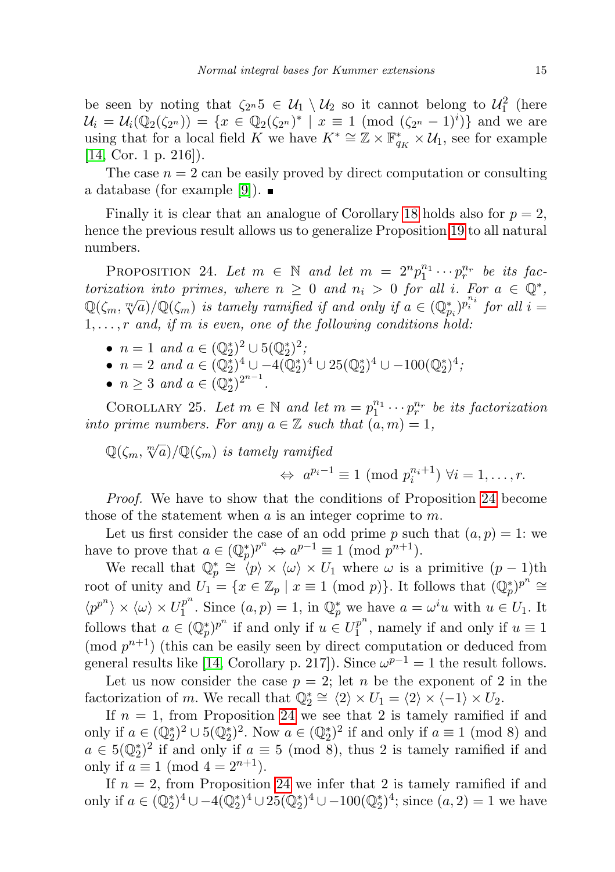be seen by noting that  $\zeta_{2^n} 5 \in \mathcal{U}_1 \setminus \mathcal{U}_2$  so it cannot belong to  $\mathcal{U}_1^2$  (here  $\mathcal{U}_i = \mathcal{U}_i(\mathbb{Q}_2(\zeta_{2^n})) = \{x \in \mathbb{Q}_2(\zeta_{2^n})^* \mid x \equiv 1 \pmod{(\zeta_{2^n} - 1)^i}\}\$ and we are using that for a local field K we have  $K^* \cong \mathbb{Z} \times \mathbb{F}_{q_K}^* \times \mathcal{U}_1$ , see for example [\[14,](#page-22-5) Cor. 1 p. 216]).

The case  $n = 2$  can be easily proved by direct computation or consulting a database (for example [\[9\]](#page-22-8)).  $\blacksquare$ 

Finally it is clear that an analogue of Corollary [18](#page-11-1) holds also for  $p = 2$ , hence the previous result allows us to generalize Proposition [19](#page-11-2) to all natural numbers.

<span id="page-14-0"></span>PROPOSITION 24. Let  $m \in \mathbb{N}$  and let  $m = 2^n p_1^{n_1} \cdots p_r^{n_r}$  be its factorization into primes, where  $n \geq 0$  and  $n_i > 0$  for all i. For  $a \in \mathbb{Q}^*$ ,  $\mathbb{Q}(\zeta_m, \sqrt[m]{a})/\mathbb{Q}(\zeta_m)$  is tamely ramified if and only if  $a \in (\mathbb{Q}_{p_i}^*)^{p_i^{n_i}}$  for all  $i =$  $1, \ldots, r$  and, if m is even, one of the following conditions hold:

- $n = 1$  and  $a \in (\mathbb{Q}_2^*)^2 \cup 5(\mathbb{Q}_2^*)^2$ ;
- $n = 2$  and  $a \in (\mathbb{Q}_2^*)^4 \cup -4(\mathbb{Q}_2^*)^4 \cup 25(\mathbb{Q}_2^*)^4 \cup -100(\mathbb{Q}_2^*)^4$ ;
- $n \geq 3$  and  $a \in (\mathbb{Q}_2^*)^{2^{n-1}}$ .

<span id="page-14-1"></span>COROLLARY 25. Let  $m \in \mathbb{N}$  and let  $m = p_1^{n_1} \cdots p_r^{n_r}$  be its factorization into prime numbers. For any  $a \in \mathbb{Z}$  such that  $(a, m) = 1$ ,

 $\mathbb{Q}(\zeta_m, \sqrt[m]{a})/\mathbb{Q}(\zeta_m)$  is tamely ramified  $\Leftrightarrow a^{p_i-1} \equiv 1 \pmod{p_i^{n_i+1}} \ \forall i = 1, \ldots, r.$ 

Proof. We have to show that the conditions of Proposition [24](#page-14-0) become those of the statement when  $a$  is an integer coprime to  $m$ .

Let us first consider the case of an odd prime p such that  $(a, p) = 1$ : we have to prove that  $a \in (\mathbb{Q}_p^*)^{p^n} \Leftrightarrow a^{p-1} \equiv 1 \pmod{p^{n+1}}$ .

We recall that  $\mathbb{Q}_p^* \cong \langle p \rangle \times \langle \omega \rangle \times U_1$  where  $\omega$  is a primitive  $(p-1)$ th root of unity and  $U_1 = \{x \in \mathbb{Z}_p \mid x \equiv 1 \pmod{p}\}$ . It follows that  $(\mathbb{Q}_p^*)^{p^n} \cong$  $\langle p^{p^n} \rangle \times \langle \omega \rangle \times U_1^{p^n}$  $j_1^{p^n}$ . Since  $(a, p) = 1$ , in  $\mathbb{Q}_p^*$  we have  $a = \omega^i u$  with  $u \in U_1$ . It follows that  $a \in (\mathbb{Q}_p^*)^{p^n}$  if and only if  $u \in U_1^{p^n}$  $t_1^{p^{\alpha}}$ , namely if and only if  $u \equiv 1$ (mod  $p^{n+1}$ ) (this can be easily seen by direct computation or deduced from general results like [\[14,](#page-22-5) Corollary p. 217]). Since  $\omega^{p-1} = 1$  the result follows.

Let us now consider the case  $p = 2$ ; let n be the exponent of 2 in the factorization of m. We recall that  $\mathbb{Q}_2^* \cong \langle 2 \rangle \times U_1 = \langle 2 \rangle \times \langle -1 \rangle \times U_2$ .

If  $n = 1$ , from Proposition [24](#page-14-0) we see that 2 is tamely ramified if and only if  $a \in (\mathbb{Q}_2^*)^2 \cup 5(\mathbb{Q}_2^*)^2$ . Now  $a \in (\mathbb{Q}_2^*)^2$  if and only if  $a \equiv 1 \pmod{8}$  and  $a \in 5(\mathbb{Q}_2^*)^2$  if and only if  $a \equiv 5 \pmod{8}$ , thus 2 is tamely ramified if and only if  $a \equiv 1 \pmod{4} = 2^{n+1}$ .

If  $n = 2$ , from Proposition [24](#page-14-0) we infer that 2 is tamely ramified if and only if  $a \in (\mathbb{Q}_2^*)^4 \cup -4(\mathbb{Q}_2^*)^4 \cup 25(\mathbb{Q}_2^*)^4 \cup -100(\mathbb{Q}_2^*)^4$ ; since  $(a, 2) = 1$  we have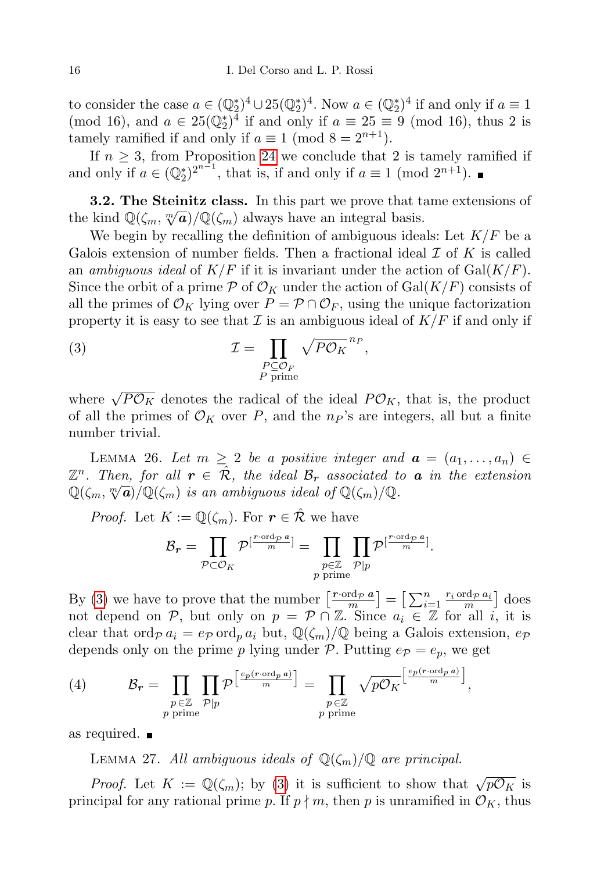to consider the case  $a \in (\mathbb{Q}_2^*)^4 \cup 25(\mathbb{Q}_2^*)^4$ . Now  $a \in (\mathbb{Q}_2^*)^4$  if and only if  $a \equiv 1$ (mod 16), and  $a \in 25(\mathbb{Q}_2^*)^{\overline{4}}$  if and only if  $a \equiv 25 \equiv 9 \pmod{16}$ , thus 2 is tamely ramified if and only if  $a \equiv 1 \pmod{8} = 2^{n+1}$ .

If  $n \geq 3$ , from Proposition [24](#page-14-0) we conclude that 2 is tamely ramified if and only if  $a \in (\mathbb{Q}_2^*)^{2^{n-1}}$ , that is, if and only if  $a \equiv 1 \pmod{2^{n+1}}$ .

<span id="page-15-0"></span>3.2. The Steinitz class. In this part we prove that tame extensions of **5.2.** The stemmer class. In this part we prove that the kind  $\mathbb{Q}(\zeta_m, \sqrt[m]{a})/\mathbb{Q}(\zeta_m)$  always have an integral basis.

We begin by recalling the definition of ambiguous ideals: Let  $K/F$  be a Galois extension of number fields. Then a fractional ideal  $\mathcal I$  of  $K$  is called an ambiguous ideal of  $K/F$  if it is invariant under the action of  $Gal(K/F)$ . Since the orbit of a prime  $P$  of  $\mathcal{O}_K$  under the action of Gal( $K/F$ ) consists of all the primes of  $\mathcal{O}_K$  lying over  $P = \mathcal{P} \cap \mathcal{O}_F$ , using the unique factorization property it is easy to see that  $\mathcal I$  is an ambiguous ideal of  $K/F$  if and only if

<span id="page-15-1"></span>(3) 
$$
\mathcal{I} = \prod_{\substack{P \subseteq \mathcal{O}_F \\ P \text{ prime}}} \sqrt{P \mathcal{O}_K}^{n_P},
$$

where  $\sqrt{P\mathcal{O}_K}$  denotes the radical of the ideal  $P\mathcal{O}_K$ , that is, the product of all the primes of  $\mathcal{O}_K$  over P, and the  $np$ 's are integers, all but a finite number trivial.

<span id="page-15-2"></span>LEMMA 26. Let  $m \geq 2$  be a positive integer and  $\mathbf{a} = (a_1, \ldots, a_n) \in$  $\mathbb{Z}^n$ . Then, for all  $r \in \hat{\mathcal{R}}$ , the ideal  $\mathcal{B}_r$  associated to **a** in the extension  $\mathbb{Q}(\zeta_m, \sqrt[m]{a})/\mathbb{Q}(\zeta_m)$  is an ambiguous ideal of  $\mathbb{Q}(\zeta_m)/\mathbb{Q}$ .

*Proof.* Let  $K := \mathbb{Q}(\zeta_m)$ . For  $r \in \hat{\mathcal{R}}$  we have

$$
\mathcal{B}_r = \prod_{\mathcal{P} \subset \mathcal{O}_K} \mathcal{P}^{[\frac{r \cdot \text{ord}_{\mathcal{P}} \, a}{m}]} = \prod_{\substack{p \in \mathbb{Z} \\ p \text{ prime}}} \prod_{\mathcal{P} \mid p} \mathcal{P}^{[\frac{r \cdot \text{ord}_{\mathcal{P}} \, a}{m}]}.
$$

By [\(3\)](#page-15-1) we have to prove that the number  $\left[\frac{r \cdot \text{ord}_{\mathcal{P}} a}{m}\right] = \left[\sum_{i=1}^{n} \frac{r_i \cdot \text{ord}_{\mathcal{P}} a_i}{m}\right]$  does not depend on P, but only on  $p = \mathcal{P} \cap \mathbb{Z}$ . Since  $a_i \in \mathbb{Z}$  for all i, it is clear that ord $p a_i = e_p$  ord<sub>p</sub>  $a_i$  but,  $\mathbb{Q}(\zeta_m)/\mathbb{Q}$  being a Galois extension,  $e_p$ depends only on the prime p lying under P. Putting  $e_{\mathcal{P}} = e_p$ , we get

<span id="page-15-4"></span>(4) 
$$
\mathcal{B}_r = \prod_{\substack{p \in \mathbb{Z} \\ p \text{ prime}}} \prod_{\mathcal{P}|p} \mathcal{P}\left[\frac{^{ep(r \cdot \text{ord}_p a)}}{^{m}}\right] = \prod_{\substack{p \in \mathbb{Z} \\ p \text{ prime}}} \sqrt{p \mathcal{O}_K}^{\left[\frac{ep(r \cdot \text{ord}_p a)}{m}\right]},
$$

<span id="page-15-3"></span>as required.

LEMMA 27. All ambiguous ideals of  $\mathbb{Q}(\zeta_m)/\mathbb{Q}$  are principal.

*Proof.* Let  $K := \mathbb{Q}(\zeta_m)$ ; by [\(3\)](#page-15-1) it is sufficient to show that  $\sqrt{p\mathcal{O}_K}$  is principal for any rational prime p. If  $p \nmid m$ , then p is unramified in  $\mathcal{O}_K$ , thus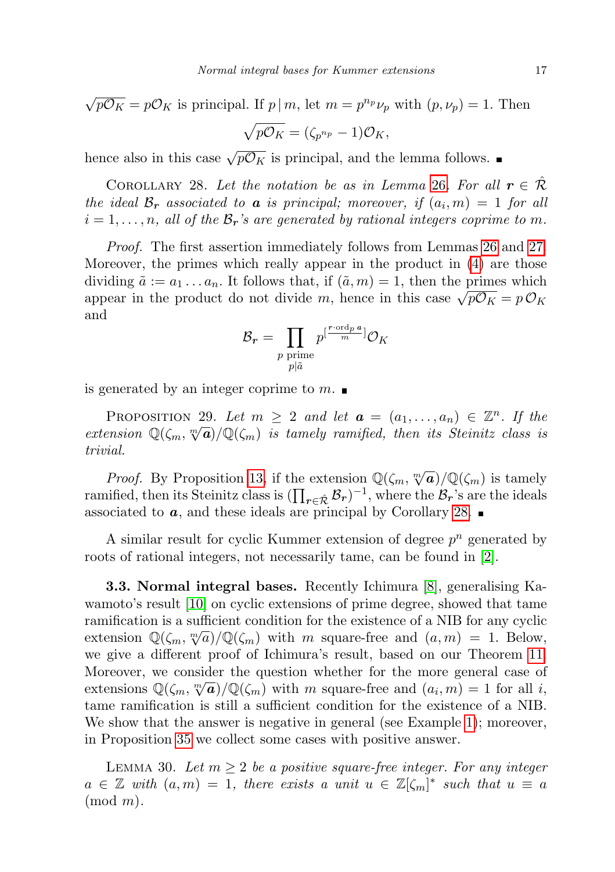$$
\sqrt{pO_K} = pO_K
$$
 is principal. If  $p \mid m$ , let  $m = p^{n_p} \nu_p$  with  $(p, \nu_p) = 1$ . Then  

$$
\sqrt{pO_K} = (\zeta_{p^{n_p}} - 1)O_K,
$$

hence also in this case  $\sqrt{p\mathcal{O}_K}$  is principal, and the lemma follows.

<span id="page-16-1"></span>COROLLARY 28. Let the notation be as in Lemma [26](#page-15-2). For all  $r \in \mathcal{R}$ the ideal  $\mathcal{B}_r$  associated to **a** is principal; moreover, if  $(a_i, m) = 1$  for all  $i = 1, \ldots, n$ , all of the  $\mathcal{B}_r$ 's are generated by rational integers coprime to m.

Proof. The first assertion immediately follows from Lemmas [26](#page-15-2) and [27.](#page-15-3) Moreover, the primes which really appear in the product in [\(4\)](#page-15-4) are those dividing  $\tilde{a} := a_1 \dots a_n$ . It follows that, if  $(\tilde{a}, m) = 1$ , then the primes which appear in the product do not divide m, hence in this case  $\sqrt{p\mathcal{O}_K} = p\mathcal{O}_K$ and

$$
\mathcal{B}_r = \prod_{\substack{p \text{ prime} \\ p \mid \tilde{a}}} p^{[\frac{r \cdot \text{ord}_p a}{m}]} \mathcal{O}_K
$$

is generated by an integer coprime to  $m$ .

<span id="page-16-0"></span>PROPOSITION 29. Let  $m \geq 2$  and let  $\mathbf{a} = (a_1, \ldots, a_n) \in \mathbb{Z}^n$ . If the extension  $\mathbb{Q}(\zeta_m, \sqrt[m]{a})/\mathbb{Q}(\zeta_m)$  is tamely ramified, then its Steinitz class is trivial.

*Proof.* By Proposition [13,](#page-9-0) if the extension  $\mathbb{Q}(\zeta_m, \sqrt[m]{a})/\mathbb{Q}(\zeta_m)$  is tamely ramified, then its Steinitz class is  $(\prod_{r \in \hat{\mathcal{R}}} \mathcal{B}_r)^{-1}$ , where the  $\mathcal{B}_r$ 's are the ideals associated to  $a$ , and these ideals are principal by Corollary [28.](#page-16-1)

A similar result for cyclic Kummer extension of degree  $p^n$  generated by roots of rational integers, not necessarily tame, can be found in [\[2\]](#page-21-1).

3.3. Normal integral bases. Recently Ichimura [\[8\]](#page-22-4), generalising Kawamoto's result [\[10\]](#page-22-3) on cyclic extensions of prime degree, showed that tame ramification is a sufficient condition for the existence of a NIB for any cyclic rannication is a sunctent condition for the existence of a NIB for any cyclic<br>extension  $\mathbb{Q}(\zeta_m, \sqrt[m]{a})/\mathbb{Q}(\zeta_m)$  with m square-free and  $(a, m) = 1$ . Below, we give a different proof of Ichimura's result, based on our Theorem [11.](#page-7-0) Moreover, we consider the question whether for the more general case of whoreover, we consider the question whether for the more general case of extensions  $\mathbb{Q}(\zeta_m, \sqrt[m]{a})/\mathbb{Q}(\zeta_m)$  with m square-free and  $(a_i, m) = 1$  for all i, tame ramification is still a sufficient condition for the existence of a NIB. We show that the answer is negative in general (see Example [1\)](#page-19-0); moreover, in Proposition [35](#page-20-1) we collect some cases with positive answer.

<span id="page-16-2"></span>LEMMA 30. Let  $m \geq 2$  be a positive square-free integer. For any integer  $a \in \mathbb{Z}$  with  $(a,m) = 1$ , there exists a unit  $u \in \mathbb{Z}[\zeta_m]^*$  such that  $u \equiv a$  $(mod m).$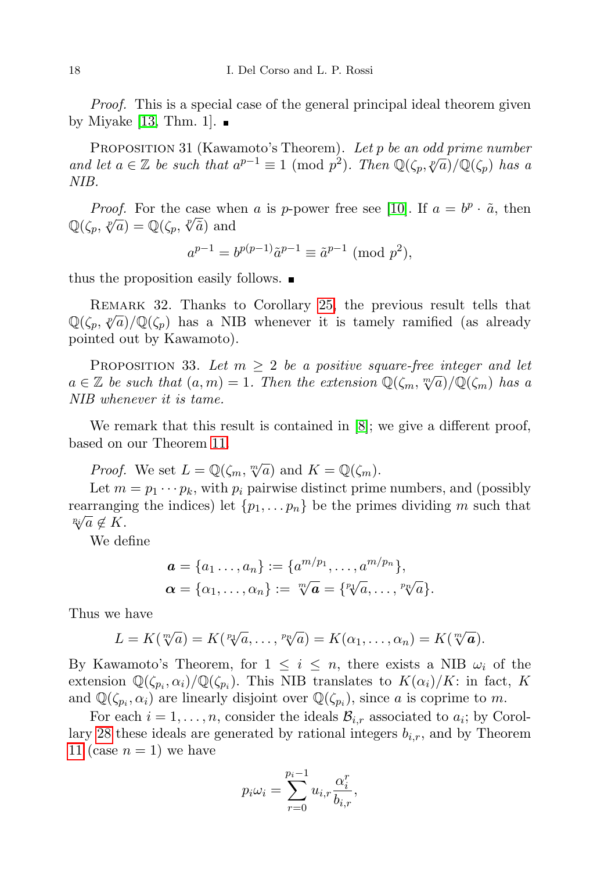Proof. This is a special case of the general principal ideal theorem given by Miyake [\[13,](#page-22-9) Thm. 1].  $\blacksquare$ 

PROPOSITION 31 (Kawamoto's Theorem). Let  $p$  be an odd prime number and let  $a \in \mathbb{Z}$  be such that  $a^{p-1} \equiv 1 \pmod{p^2}$ . Then  $\mathbb{Q}(\zeta_p, \sqrt[p]{a})/\mathbb{Q}(\zeta_p)$  has a NIB.

*Proof.* For the case when a is p-power free see [\[10\]](#page-22-3). If  $a = b^p \cdot \tilde{a}$ , then *Proof.* For the case who<br>  $\mathbb{Q}(\zeta_p, \sqrt[p]{a}) = \mathbb{Q}(\zeta_p, \sqrt[p]{\tilde{a}})$  and

$$
a^{p-1} = b^{p(p-1)} \tilde{a}^{p-1} \equiv \tilde{a}^{p-1} \pmod{p^2},
$$

thus the proposition easily follows.  $\blacksquare$ 

Remark 32. Thanks to Corollary [25,](#page-14-1) the previous result tells that  $\mathbb{Q}(\zeta_p, \sqrt[p]{a})/\mathbb{Q}(\zeta_p)$  has a NIB whenever it is tamely ramified (as already pointed out by Kawamoto).

<span id="page-17-0"></span>PROPOSITION 33. Let  $m \geq 2$  be a positive square-free integer and let a ∈ Z be such that  $(a, m) = 1$ . Then the extension  $\mathbb{Q}(\zeta_m, \sqrt[m]{a})/\mathbb{Q}(\zeta_m)$  has a NIB whenever it is tame.

We remark that this result is contained in [\[8\]](#page-22-4); we give a different proof, based on our Theorem [11.](#page-7-0)

*Proof.* We set  $L = \mathbb{Q}(\zeta_m, \sqrt[m]{a})$  and  $K = \mathbb{Q}(\zeta_m)$ .

Let  $m = p_1 \cdots p_k$ , with  $p_i$  pairwise distinct prime numbers, and (possibly rearranging the indices) let  $\{p_1, \ldots, p_n\}$  be the primes dividing m such that  $\sqrt[p_i]{a} \notin K$ .

We define

$$
\mathbf{a} = \{a_1 \ldots, a_n\} := \{a^{m/p_1}, \ldots, a^{m/p_n}\},\
$$

$$
\mathbf{\alpha} = \{\alpha_1, \ldots, \alpha_n\} := \sqrt[m]{\mathbf{a}} = \{^p \sqrt{a}, \ldots, ^p \sqrt{a}\}.
$$

Thus we have

$$
L=K(\sqrt[m]{a})=K(\sqrt[p_1]{a},\ldots,\sqrt[p_n]{a})=K(\alpha_1,\ldots,\alpha_n)=K(\sqrt[m]{a}).
$$

By Kawamoto's Theorem, for  $1 \leq i \leq n$ , there exists a NIB  $\omega_i$  of the extension  $\mathbb{Q}(\zeta_{p_i}, \alpha_i)/\mathbb{Q}(\zeta_{p_i})$ . This NIB translates to  $K(\alpha_i)/K$ : in fact, K and  $\mathbb{Q}(\zeta_{p_i}, \alpha_i)$  are linearly disjoint over  $\mathbb{Q}(\zeta_{p_i})$ , since a is coprime to m.

For each  $i = 1, \ldots, n$ , consider the ideals  $\mathcal{B}_{i,r}$  associated to  $a_i$ ; by Corol-lary [28](#page-16-1) these ideals are generated by rational integers  $b_{i,r}$ , and by Theorem [11](#page-7-0) (case  $n = 1$ ) we have

$$
p_i \omega_i = \sum_{r=0}^{p_i - 1} u_{i,r} \frac{\alpha_i^r}{b_{i,r}},
$$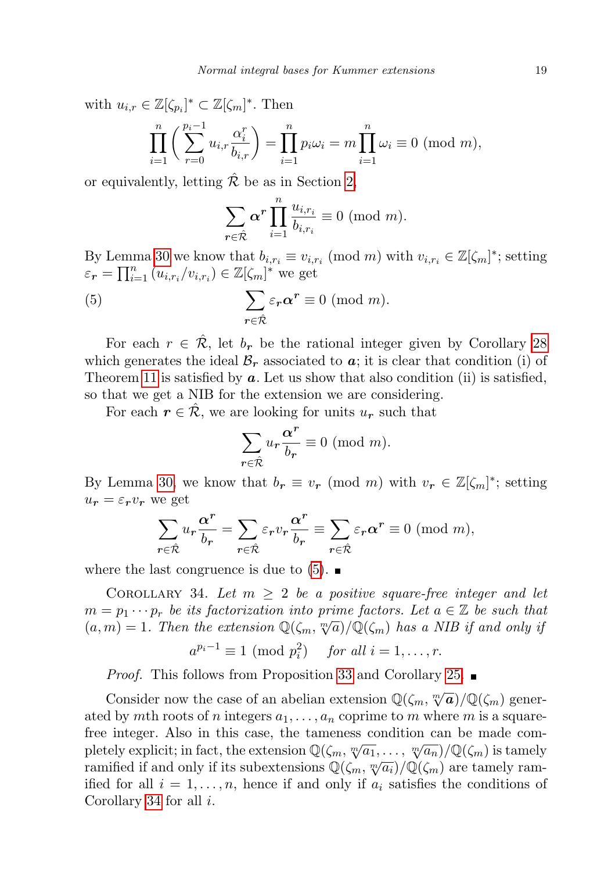with  $u_{i,r} \in \mathbb{Z}[\zeta_{p_i}]^* \subset \mathbb{Z}[\zeta_m]^*$ . Then

$$
\prod_{i=1}^{n} \left( \sum_{r=0}^{p_i-1} u_{i,r} \frac{\alpha_i^r}{b_{i,r}} \right) = \prod_{i=1}^{n} p_i \omega_i = m \prod_{i=1}^{n} \omega_i \equiv 0 \pmod{m},
$$

or equivalently, letting  $\hat{\mathcal{R}}$  be as in Section [2,](#page-1-0)

<span id="page-18-0"></span>
$$
\sum_{r \in \hat{\mathcal{R}}} \alpha^r \prod_{i=1}^n \frac{u_{i,r_i}}{b_{i,r_i}} \equiv 0 \pmod{m}.
$$

By Lemma [30](#page-16-2) we know that  $b_{i,r_i} \equiv v_{i,r_i} \pmod{m}$  with  $v_{i,r_i} \in \mathbb{Z}[\zeta_m]^*$ ; setting  $\varepsilon_{\bm r} = \prod_{i=1}^n (u_{i,r_i}/v_{i,r_i}) \in \mathbb{Z}[\zeta_m]^*$  we get

(5) 
$$
\sum_{r \in \hat{\mathcal{R}}} \varepsilon_r \alpha^r \equiv 0 \pmod{m}.
$$

For each  $r \in \mathcal{R}$ , let  $b_r$  be the rational integer given by Corollary [28](#page-16-1) which generates the ideal  $\mathcal{B}_r$  associated to  $a$ ; it is clear that condition (i) of Theorem [11](#page-7-0) is satisfied by  $a$ . Let us show that also condition (ii) is satisfied, so that we get a NIB for the extension we are considering.

For each  $r \in \mathcal{R}$ , we are looking for units  $u_r$  such that

$$
\sum_{r \in \hat{\mathcal{R}}} u_r \frac{\alpha^r}{b_r} \equiv 0 \text{ (mod } m).
$$

By Lemma [30,](#page-16-2) we know that  $b_r \equiv v_r \pmod{m}$  with  $v_r \in \mathbb{Z}[\zeta_m]^*$ ; setting  $u_r = \varepsilon_r v_r$  we get

$$
\sum_{r \in \hat{\mathcal{R}}} u_r \frac{\alpha^r}{b_r} = \sum_{r \in \hat{\mathcal{R}}} \varepsilon_r v_r \frac{\alpha^r}{b_r} \equiv \sum_{r \in \hat{\mathcal{R}}} \varepsilon_r \alpha^r \equiv 0 \pmod{m},
$$

where the last congruence is due to  $(5)$ .

<span id="page-18-1"></span>COROLLARY 34. Let  $m \geq 2$  be a positive square-free integer and let  $m = p_1 \cdots p_r$  be its factorization into prime factors. Let  $a \in \mathbb{Z}$  be such that  $m = p_1 \cdots p_r$  be us factorization that prime factors. Let  $a \in \mathbb{Z}$  be such that  $(a, m) = 1$ . Then the extension  $\mathbb{Q}(\zeta_m, \sqrt[m]{a})/\mathbb{Q}(\zeta_m)$  has a NIB if and only if

$$
a^{p_i-1} \equiv 1 \pmod{p_i^2} \quad \text{for all } i = 1, \dots, r.
$$

Proof. This follows from Proposition [33](#page-17-0) and Corollary [25.](#page-14-1)

Consider now the case of an abelian extension  $\mathbb{Q}(\zeta_m, \sqrt[m]{a})/\mathbb{Q}(\zeta_m)$  generated by mth roots of n integers  $a_1, \ldots, a_n$  coprime to m where m is a squarefree integer. Also in this case, the tameness condition can be made com-The image. Also in this case, the tameness condition can be made completely explicit; in fact, the extension  $\mathbb{Q}(\zeta_m, \sqrt[m]{a_1}, \dots, \sqrt[m]{a_n})/\mathbb{Q}(\zeta_m)$  is tamely pletely explicit, in fact, the extension  $\mathbb{Q}(\zeta_m, \mathbb{V}^{a_1}, \dots, \mathbb{V}^{a_n})/\mathbb{Q}(\zeta_m)$  is tallely ram-<br>ramified if and only if its subextensions  $\mathbb{Q}(\zeta_m, \mathbb{W}^{a_i})/\mathbb{Q}(\zeta_m)$  are tamely ramified for all  $i = 1, \ldots, n$ , hence if and only if  $a_i$  satisfies the conditions of Corollary [34](#page-18-1) for all  $i$ .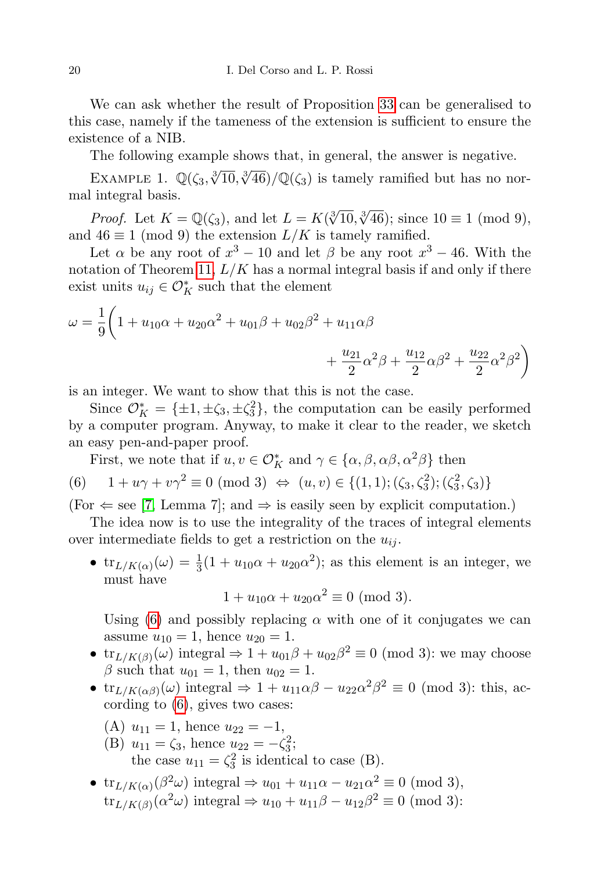We can ask whether the result of Proposition [33](#page-17-0) can be generalised to this case, namely if the tameness of the extension is sufficient to ensure the existence of a NIB.

The following example shows that, in general, the answer is negative.

<span id="page-19-0"></span>EXAMPLE 1.  $\mathbb{Q}(\zeta_3, \sqrt[3]{10}, \sqrt[3]{46})/\mathbb{Q}(\zeta_3)$  is tamely ramified but has no normal integral basis.

*Proof.* Let  $K = \mathbb{Q}(\zeta_3)$ , and let  $L = K(\sqrt[3]{10}, \sqrt[3]{46})$ ; since  $10 \equiv 1 \pmod{9}$ , and  $46 \equiv 1 \pmod{9}$  the extension  $L/K$  is tamely ramified.

Let  $\alpha$  be any root of  $x^3 - 10$  and let  $\beta$  be any root  $x^3 - 46$ . With the notation of Theorem [11,](#page-7-0)  $L/K$  has a normal integral basis if and only if there exist units  $u_{ij} \in \mathcal{O}_K^*$  such that the element

$$
\omega = \frac{1}{9} \left( 1 + u_{10} \alpha + u_{20} \alpha^2 + u_{01} \beta + u_{02} \beta^2 + u_{11} \alpha \beta + \frac{u_{21}}{2} \alpha^2 \beta + \frac{u_{12}}{2} \alpha \beta^2 + \frac{u_{22}}{2} \alpha^2 \beta^2 \right)
$$

is an integer. We want to show that this is not the case.

Since  $\mathcal{O}_K^* = {\pm 1, \pm \zeta_3, \pm \zeta_3^2}$ , the computation can be easily performed by a computer program. Anyway, to make it clear to the reader, we sketch an easy pen-and-paper proof.

<span id="page-19-1"></span>First, we note that if 
$$
u, v \in \mathcal{O}_K^*
$$
 and  $\gamma \in \{\alpha, \beta, \alpha\beta, \alpha^2\beta\}$  then  
\n(6)  $1 + u\gamma + v\gamma^2 \equiv 0 \pmod{3} \Leftrightarrow (u, v) \in \{(1, 1); (\zeta_3, \zeta_3^2); (\zeta_3^2, \zeta_3)\}$ 

 $(For \Leftarrow see [7, Lemma 7]; and \Rightarrow is easily seen by explicit computation.)$  $(For \Leftarrow see [7, Lemma 7]; and \Rightarrow is easily seen by explicit computation.)$  $(For \Leftarrow see [7, Lemma 7]; and \Rightarrow is easily seen by explicit computation.)$ 

The idea now is to use the integrality of the traces of integral elements over intermediate fields to get a restriction on the  $u_{ij}$ .

•  $\text{tr}_{L/K(\alpha)}(\omega) = \frac{1}{3}(1 + u_{10}\alpha + u_{20}\alpha^2)$ ; as this element is an integer, we must have

 $1 + u_{10}\alpha + u_{20}\alpha^2 \equiv 0 \pmod{3}.$ 

Using [\(6\)](#page-19-1) and possibly replacing  $\alpha$  with one of it conjugates we can assume  $u_{10} = 1$ , hence  $u_{20} = 1$ .

- $\text{tr}_{L/K(\beta)}(\omega)$  integral  $\Rightarrow 1 + u_{01}\beta + u_{02}\beta^2 \equiv 0 \pmod{3}$ : we may choose β such that  $u_{01} = 1$ , then  $u_{02} = 1$ .
- $\text{tr}_{L/K(\alpha\beta)}(\omega)$  integral  $\Rightarrow 1 + u_{11}\alpha\beta u_{22}\alpha^2\beta^2 \equiv 0 \pmod{3}$ : this, according to [\(6\)](#page-19-1), gives two cases:
	- (A)  $u_{11} = 1$ , hence  $u_{22} = -1$ ,
	- (B)  $u_{11} = \zeta_3$ , hence  $u_{22} = -\zeta_3^2$ ; the case  $u_{11} = \zeta_3^2$  is identical to case (B).
- $\operatorname{tr}_{L/K(\alpha)}(\beta^2\omega)$  integral  $\Rightarrow u_{01} + u_{11}\alpha u_{21}\alpha^2 \equiv 0 \pmod{3}$ ,  $\text{tr}_{L/K(\beta)}(\alpha^2\omega)$  integral  $\Rightarrow u_{10} + u_{11}\beta - u_{12}\beta^2 \equiv 0 \pmod{3}$ :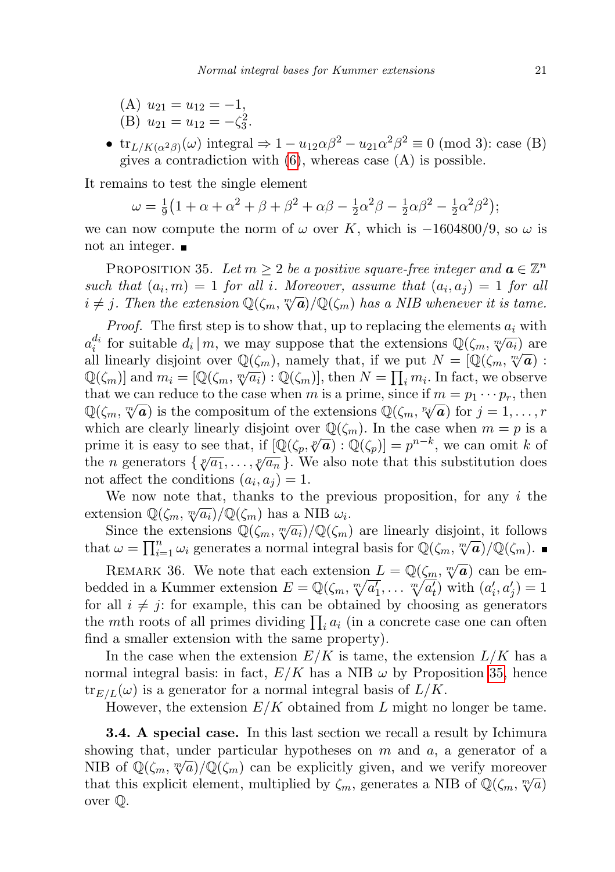(A) 
$$
u_{21} = u_{12} = -1
$$
,

- (B)  $u_{21} = u_{12} = -\zeta_3^2$ .
- $\text{tr}_{L/K(\alpha^2\beta)}(\omega)$  integral  $\Rightarrow 1 u_{12}\alpha\beta^2 u_{21}\alpha^2\beta^2 \equiv 0 \pmod{3}$ : case (B) gives a contradiction with  $(6)$ , whereas case  $(A)$  is possible.

It remains to test the single element

 $\omega=\frac{1}{9}$  $\frac{1}{9}(1+\alpha+\alpha^2+\beta+\beta^2+\alpha\beta-\frac{1}{2})$  $\frac{1}{2}\alpha^2\beta-\frac{1}{2}$  $\frac{1}{2}\alpha\beta^{2} - \frac{1}{2}$  $\frac{1}{2}\alpha^2\beta^2$ );

we can now compute the norm of  $\omega$  over K, which is  $-1604800/9$ , so  $\omega$  is not an integer.

<span id="page-20-1"></span>PROPOSITION 35. Let  $m \geq 2$  be a positive square-free integer and  $a \in \mathbb{Z}^n$ such that  $(a_i, m) = 1$  for all i. Moreover, assume that  $(a_i, a_j) = 1$  for all such that  $(a_i, m) = 1$  for all t. Moreover, assume that  $(a_i, a_j) = 1$  for all  $i \neq j$ . Then the extension  $\mathbb{Q}(\zeta_m, \sqrt[m]{a})/\mathbb{Q}(\zeta_m)$  has a NIB whenever it is tame.

*Proof.* The first step is to show that, up to replacing the elements  $a_i$  with  $a_i^{d_i}$  for suitable  $d_i | m$ , we may suppose that the extensions  $\mathbb{Q}(\zeta_m, \sqrt[m]{a_i})$  are all linearly disjoint over  $\mathbb{Q}(\zeta_m)$ , namely that, if we put  $N = [\mathbb{Q}(\zeta_m, \sqrt[m]{a})$ : an intearly disjoint over  $\mathcal{Q}(\zeta_m)$ , namely that, if we put  $N = \mathcal{Q}(\zeta_m, \nabla \mathbf{u})$ .<br> $\mathbb{Q}(\zeta_m)$  and  $m_i = [\mathbb{Q}(\zeta_m, \nabla \overline{a_i}) : \mathbb{Q}(\zeta_m)]$ , then  $N = \prod_i m_i$ . In fact, we observe that we can reduce to the case when m is a prime, since if  $m = p_1 \cdots p_r$ , then that we can reduce to the case when m is a prime, since if  $m = p_1 \cdots p_r$ , then  $\mathbb{Q}(\zeta_m, \sqrt[m]{a})$  is the compositum of the extensions  $\mathbb{Q}(\zeta_m, \sqrt[p]{a})$  for  $j = 1, \ldots, r$ which are clearly linearly disjoint over  $\mathbb{Q}(\zeta_m)$ . In the case when  $m = p$  is a which are clearly infearly disjoint over  $\mathcal{Q}(\zeta_m)$ . In the case when  $m - p$  is a<br>prime it is easy to see that, if  $[\mathbb{Q}(\zeta_p, \sqrt[p]{a}) : \mathbb{Q}(\zeta_p)] = p^{n-k}$ , we can omit k of the n generators  $\{\sqrt[p]{a_1}, \ldots, \sqrt[p]{a_n}\}$ . We also note that this substitution does not affect the conditions  $(a_i, a_j) = 1$ .

We now note that, thanks to the previous proposition, for any  $i$  the extension  $\mathbb{Q}(\zeta_m, \sqrt[m]{a_i})/\mathbb{Q}(\zeta_m)$  has a NIB  $\omega_i$ .

Since the extensions  $\mathbb{Q}(\zeta_m, \sqrt[m]{a_i})/\mathbb{Q}(\zeta_m)$  are linearly disjoint, it follows since the extensions  $\mathcal{Q}(\zeta_m, \mathcal{J} u_i)/\mathcal{Q}(\zeta_m)$  are integrity disjoint, it follows<br>that  $\omega = \prod_{i=1}^n \omega_i$  generates a normal integral basis for  $\mathbb{Q}(\zeta_m, \mathcal{N}\mathbf{a})/\mathbb{Q}(\zeta_m)$ .

REMARK 36. We note that each extension  $L = \mathbb{Q}(\zeta_m, \sqrt[m]{a})$  can be embedded in a Kummer extension  $E = \mathbb{Q}(\zeta_m, \sqrt[m]{a_1}, \dots, \sqrt[m]{a_t}$  with  $(a_i', a_j') = 1$ for all  $i \neq j$ : for example, this can be obtained by choosing as generators the mth roots of all primes dividing  $\prod_i a_i$  (in a concrete case one can often find a smaller extension with the same property).

In the case when the extension  $E/K$  is tame, the extension  $L/K$  has a normal integral basis: in fact,  $E/K$  has a NIB  $\omega$  by Proposition [35,](#page-20-1) hence  ${\rm tr}_{E/L}(\omega)$  is a generator for a normal integral basis of  $L/K$ .

However, the extension  $E/K$  obtained from L might no longer be tame.

<span id="page-20-0"></span>3.4. A special case. In this last section we recall a result by Ichimura showing that, under particular hypotheses on  $m$  and  $a$ , a generator of a showing that, under particular hypotheses on m and u, a generator of a<br>NIB of  $\mathbb{Q}(\zeta_m, \sqrt[m]{a})/\mathbb{Q}(\zeta_m)$  can be explicitly given, and we verify moreover That this explicit element, multiplied by  $\zeta_m$ , generates a NIB of  $\mathbb{Q}(\zeta_m, \sqrt[m]{a})$ over Q.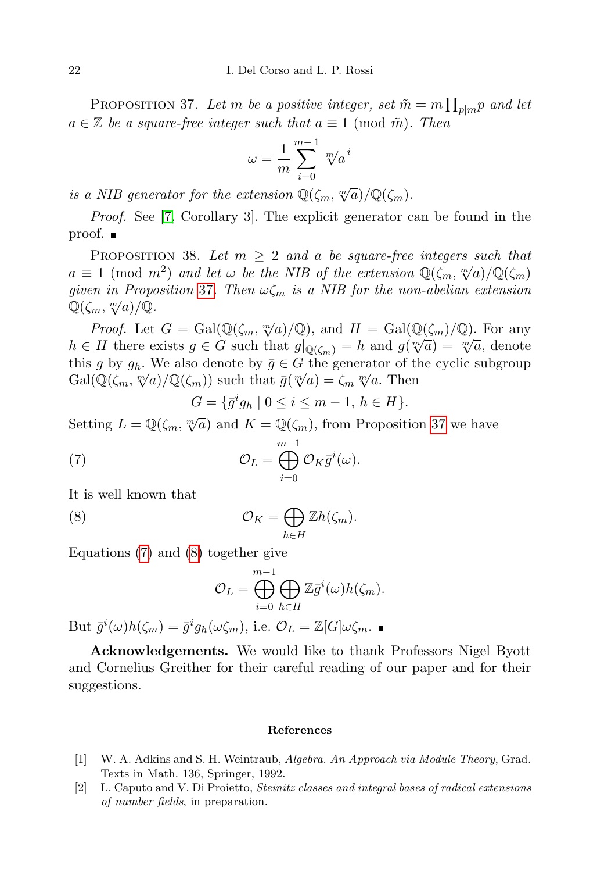<span id="page-21-2"></span>PROPOSITION 37. Let m be a positive integer, set  $\tilde{m} = m \prod_{p \mid m} p$  and let  $a \in \mathbb{Z}$  be a square-free integer such that  $a \equiv 1 \pmod{\tilde{m}}$ . Then

$$
\omega = \frac{1}{m} \sum_{i=0}^{m-1} \sqrt[m]{a}^i
$$

is a NIB generator for the extension  $\mathbb{Q}(\zeta_m, \sqrt[m]{a})/\mathbb{Q}(\zeta_m)$ .

Proof. See [\[7,](#page-22-10) Corollary 3]. The explicit generator can be found in the proof. ■

PROPOSITION 38. Let  $m \geq 2$  and a be square-free integers such that a  $\equiv$  1 (mod m<sup>2</sup>) and let  $\omega$  be the NIB of the extension  $\mathbb{Q}(\zeta_m, \sqrt[m]{a})/\mathbb{Q}(\zeta_m)$ given in Proposition [37](#page-21-2). Then  $\omega \zeta_m$  is a NIB for the non-abelian extension  $\mathbb{Q}(\zeta_m, \sqrt[m]{a})/\mathbb{Q}.$ 

*Proof.* Let  $G = \text{Gal}(\mathbb{Q}(\zeta_m, \sqrt[m]{a})/\mathbb{Q})$ , and  $H = \text{Gal}(\mathbb{Q}(\zeta_m)/\mathbb{Q})$ . For any h ∈ H there exists  $g \in G$  such that  $g|_{\mathbb{Q}(\zeta_m)} = h$  and  $g(\sqrt[m]{a}) = \sqrt[m]{a}$ , denote this g by  $g_h$ . We also denote by  $\bar{g} \in G$  the generator of the cyclic subgroup Gal( $\mathbb{Q}(\zeta_m, \sqrt[m]{a})/\mathbb{Q}(\zeta_m)$ ) such that  $\bar{g}(\sqrt[m]{a}) = \zeta_m \sqrt[m]{a}$ . Then

<span id="page-21-3"></span>
$$
G = \{ \bar{g}^i g_h \mid 0 \le i \le m - 1, \, h \in H \}.
$$

Setting  $L = \mathbb{Q}(\zeta_m, \sqrt[m]{a})$  and  $K = \mathbb{Q}(\zeta_m)$ , from Proposition [37](#page-21-2) we have

(7) 
$$
\mathcal{O}_L = \bigoplus_{i=0}^{m-1} \mathcal{O}_K \bar{g}^i(\omega).
$$

It is well known that

(8) 
$$
\mathcal{O}_K = \bigoplus_{h \in H} \mathbb{Z}h(\zeta_m).
$$

Equations [\(7\)](#page-21-3) and [\(8\)](#page-21-4) together give

<span id="page-21-4"></span>
$$
\mathcal{O}_L = \bigoplus_{i=0}^{m-1} \bigoplus_{h \in H} \mathbb{Z} \overline{g}^i(\omega) h(\zeta_m).
$$

But  $\bar{g}^i(\omega)h(\zeta_m) = \bar{g}^i g_h(\omega \zeta_m)$ , i.e.  $\mathcal{O}_L = \mathbb{Z}[G]\omega \zeta_m$ .

Acknowledgements. We would like to thank Professors Nigel Byott and Cornelius Greither for their careful reading of our paper and for their suggestions.

## References

- <span id="page-21-0"></span>[1] W. A. Adkins and S. H. Weintraub, Algebra. An Approach via Module Theory, Grad. Texts in Math. 136, Springer, 1992.
- <span id="page-21-1"></span>[2] L. Caputo and V. Di Proietto, Steinitz classes and integral bases of radical extensions of number fields, in preparation.